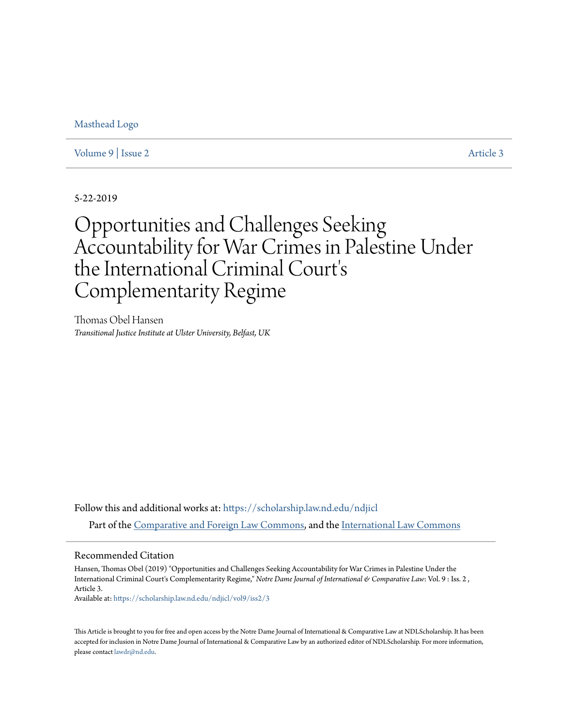[Masthead Logo](https://scholarship.law.nd.edu/ndjicl/?utm_source=scholarship.law.nd.edu%2Fndjicl%2Fvol9%2Fiss2%2F3&utm_medium=PDF&utm_campaign=PDFCoverPages)

[Volume 9](https://scholarship.law.nd.edu/ndjicl/vol9?utm_source=scholarship.law.nd.edu%2Fndjicl%2Fvol9%2Fiss2%2F3&utm_medium=PDF&utm_campaign=PDFCoverPages) | [Issue 2](https://scholarship.law.nd.edu/ndjicl/vol9/iss2?utm_source=scholarship.law.nd.edu%2Fndjicl%2Fvol9%2Fiss2%2F3&utm_medium=PDF&utm_campaign=PDFCoverPages) [Article 3](https://scholarship.law.nd.edu/ndjicl/vol9/iss2/3?utm_source=scholarship.law.nd.edu%2Fndjicl%2Fvol9%2Fiss2%2F3&utm_medium=PDF&utm_campaign=PDFCoverPages)

5-22-2019

# Opportunities and Challenges Seeking Accountability for War Crimes in Palestine Under the International Criminal Court' s Complementarity Regime

Thomas Obel Hansen *Transitional Justice Institute at Ulster University, Belfast, UK*

Follow this and additional works at: [https://scholarship.law.nd.edu/ndjicl](https://scholarship.law.nd.edu/ndjicl?utm_source=scholarship.law.nd.edu%2Fndjicl%2Fvol9%2Fiss2%2F3&utm_medium=PDF&utm_campaign=PDFCoverPages) Part of the [Comparative and Foreign Law Commons](http://network.bepress.com/hgg/discipline/836?utm_source=scholarship.law.nd.edu%2Fndjicl%2Fvol9%2Fiss2%2F3&utm_medium=PDF&utm_campaign=PDFCoverPages), and the [International Law Commons](http://network.bepress.com/hgg/discipline/609?utm_source=scholarship.law.nd.edu%2Fndjicl%2Fvol9%2Fiss2%2F3&utm_medium=PDF&utm_campaign=PDFCoverPages)

## Recommended Citation

Hansen, Thomas Obel (2019) "Opportunities and Challenges Seeking Accountability for War Crimes in Palestine Under the International Criminal Court's Complementarity Regime," *Notre Dame Journal of International & Comparative Law*: Vol. 9 : Iss. 2 , Article 3.

Available at: [https://scholarship.law.nd.edu/ndjicl/vol9/iss2/3](https://scholarship.law.nd.edu/ndjicl/vol9/iss2/3?utm_source=scholarship.law.nd.edu%2Fndjicl%2Fvol9%2Fiss2%2F3&utm_medium=PDF&utm_campaign=PDFCoverPages)

This Article is brought to you for free and open access by the Notre Dame Journal of International & Comparative Law at NDLScholarship. It has been accepted for inclusion in Notre Dame Journal of International & Comparative Law by an authorized editor of NDLScholarship. For more information, please contact [lawdr@nd.edu](mailto:lawdr@nd.edu).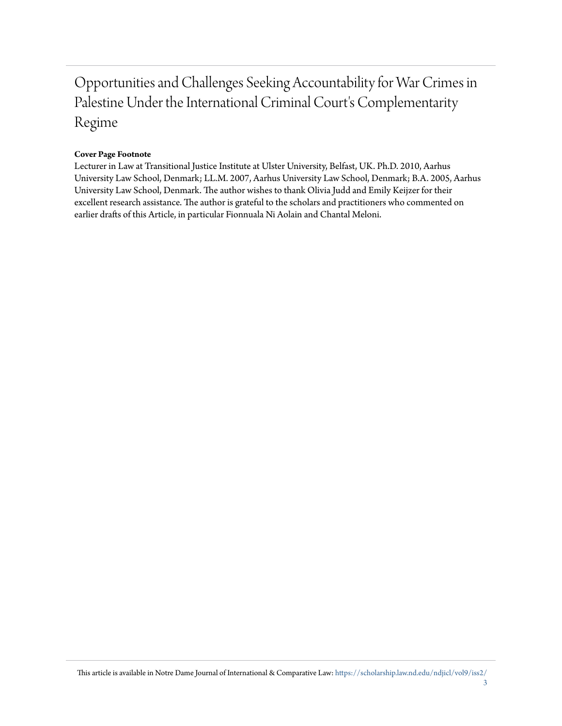## Opportunities and Challenges Seeking Accountability for War Crimes in Palestine Under the International Criminal Court's Complementarity Regime

## **Cover Page Footnote**

Lecturer in Law at Transitional Justice Institute at Ulster University, Belfast, UK. Ph.D. 2010, Aarhus University Law School, Denmark; LL.M. 2007, Aarhus University Law School, Denmark; B.A. 2005, Aarhus University Law School, Denmark. The author wishes to thank Olivia Judd and Emily Keijzer for their excellent research assistance. The author is grateful to the scholars and practitioners who commented on earlier drafts of this Article, in particular Fionnuala Ni Aolain and Chantal Meloni.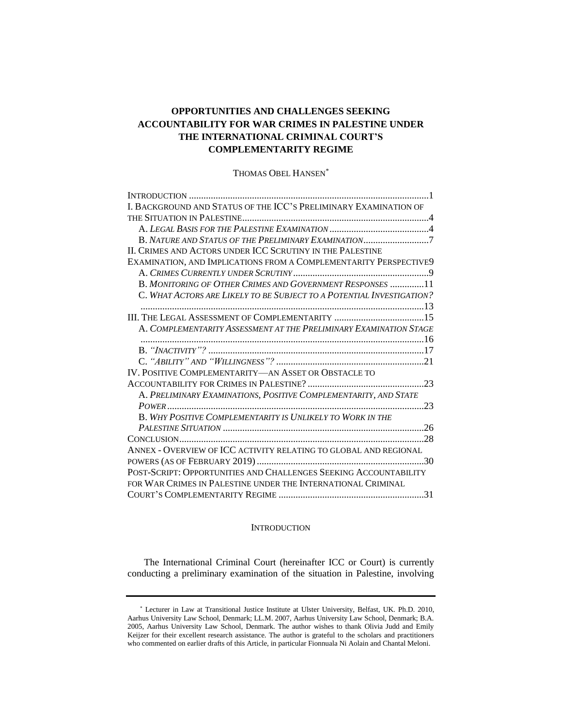## **OPPORTUNITIES AND CHALLENGES SEEKING ACCOUNTABILITY FOR WAR CRIMES IN PALESTINE UNDER THE INTERNATIONAL CRIMINAL COURT'S COMPLEMENTARITY REGIME**

THOMAS OBEL HANSEN*\**

| I. BACKGROUND AND STATUS OF THE ICC'S PRELIMINARY EXAMINATION OF      |
|-----------------------------------------------------------------------|
|                                                                       |
|                                                                       |
| B. NATURE AND STATUS OF THE PRELIMINARY EXAMINATION7                  |
| II. CRIMES AND ACTORS UNDER ICC SCRUTINY IN THE PALESTINE             |
| EXAMINATION, AND IMPLICATIONS FROM A COMPLEMENTARITY PERSPECTIVE9     |
|                                                                       |
| B. MONITORING OF OTHER CRIMES AND GOVERNMENT RESPONSES 11             |
| C. WHAT ACTORS ARE LIKELY TO BE SUBJECT TO A POTENTIAL INVESTIGATION? |
|                                                                       |
|                                                                       |
| A. COMPLEMENTARITY ASSESSMENT AT THE PRELIMINARY EXAMINATION STAGE    |
|                                                                       |
|                                                                       |
|                                                                       |
| IV. POSITIVE COMPLEMENTARITY—AN ASSET OR OBSTACLE TO                  |
|                                                                       |
| A. PRELIMINARY EXAMINATIONS, POSITIVE COMPLEMENTARITY, AND STATE      |
|                                                                       |
| <b>B. WHY POSITIVE COMPLEMENTARITY IS UNLIKELY TO WORK IN THE</b>     |
|                                                                       |
|                                                                       |
| ANNEX - OVERVIEW OF ICC ACTIVITY RELATING TO GLOBAL AND REGIONAL      |
|                                                                       |
| POST-SCRIPT: OPPORTUNITIES AND CHALLENGES SEEKING ACCOUNTABILITY      |
| FOR WAR CRIMES IN PALESTINE UNDER THE INTERNATIONAL CRIMINAL          |
|                                                                       |

#### **INTRODUCTION**

<span id="page-2-0"></span>The International Criminal Court (hereinafter ICC or Court) is currently conducting a preliminary examination of the situation in Palestine, involving

<sup>\*</sup> Lecturer in Law at Transitional Justice Institute at Ulster University, Belfast, UK. Ph.D. 2010, Aarhus University Law School, Denmark; LL.M. 2007, Aarhus University Law School, Denmark; B.A. 2005, Aarhus University Law School, Denmark. The author wishes to thank Olivia Judd and Emily Keijzer for their excellent research assistance. The author is grateful to the scholars and practitioners who commented on earlier drafts of this Article, in particular Fionnuala Ni Aolain and Chantal Meloni.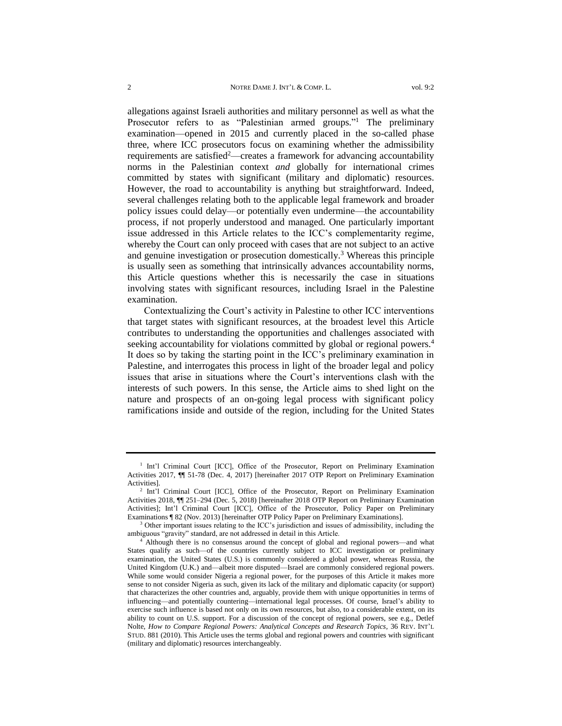<span id="page-3-1"></span><span id="page-3-0"></span>allegations against Israeli authorities and military personnel as well as what the Prosecutor refers to as "Palestinian armed groups."<sup>1</sup> The preliminary examination—opened in 2015 and currently placed in the so-called phase three, where ICC prosecutors focus on examining whether the admissibility requirements are satisfied<sup>2</sup>—creates a framework for advancing accountability norms in the Palestinian context *and* globally for international crimes committed by states with significant (military and diplomatic) resources. However, the road to accountability is anything but straightforward. Indeed, several challenges relating both to the applicable legal framework and broader policy issues could delay—or potentially even undermine—the accountability process, if not properly understood and managed. One particularly important issue addressed in this Article relates to the ICC's complementarity regime, whereby the Court can only proceed with cases that are not subject to an active and genuine investigation or prosecution domestically.<sup>3</sup> Whereas this principle is usually seen as something that intrinsically advances accountability norms, this Article questions whether this is necessarily the case in situations involving states with significant resources, including Israel in the Palestine examination.

Contextualizing the Court's activity in Palestine to other ICC interventions that target states with significant resources, at the broadest level this Article contributes to understanding the opportunities and challenges associated with seeking accountability for violations committed by global or regional powers.<sup>4</sup> It does so by taking the starting point in the ICC's preliminary examination in Palestine, and interrogates this process in light of the broader legal and policy issues that arise in situations where the Court's interventions clash with the interests of such powers. In this sense, the Article aims to shed light on the nature and prospects of an on-going legal process with significant policy ramifications inside and outside of the region, including for the United States

<sup>&</sup>lt;sup>1</sup> Int'l Criminal Court [ICC], Office of the Prosecutor, Report on Preliminary Examination Activities 2017, ¶¶ 51-78 (Dec. 4, 2017) [hereinafter 2017 OTP Report on Preliminary Examination Activities].

<sup>&</sup>lt;sup>2</sup> Int'l Criminal Court [ICC], Office of the Prosecutor, Report on Preliminary Examination Activities 2018, ¶¶ 251–294 (Dec. 5, 2018) [hereinafter 2018 OTP Report on Preliminary Examination Activities]; Int'l Criminal Court [ICC], Office of the Prosecutor, Policy Paper on Preliminary Examinations ¶ 82 (Nov. 2013) [hereinafter OTP Policy Paper on Preliminary Examinations].

<sup>&</sup>lt;sup>3</sup> Other important issues relating to the ICC's jurisdiction and issues of admissibility, including the ambiguous "gravity" standard, are not addressed in detail in this Article.

<sup>4</sup> Although there is no consensus around the concept of global and regional powers—and what States qualify as such—of the countries currently subject to ICC investigation or preliminary examination, the United States (U.S.) is commonly considered a global power, whereas Russia, the United Kingdom (U.K.) and—albeit more disputed—Israel are commonly considered regional powers. While some would consider Nigeria a regional power, for the purposes of this Article it makes more sense to not consider Nigeria as such, given its lack of the military and diplomatic capacity (or support) that characterizes the other countries and, arguably, provide them with unique opportunities in terms of influencing—and potentially countering—international legal processes. Of course, Israel's ability to exercise such influence is based not only on its own resources, but also, to a considerable extent, on its ability to count on U.S. support. For a discussion of the concept of regional powers, see e.g., Detlef Nolte, *How to Compare Regional Powers: Analytical Concepts and Research Topics*, 36 REV. INT'L STUD. 881 (2010). This Article uses the terms global and regional powers and countries with significant (military and diplomatic) resources interchangeably.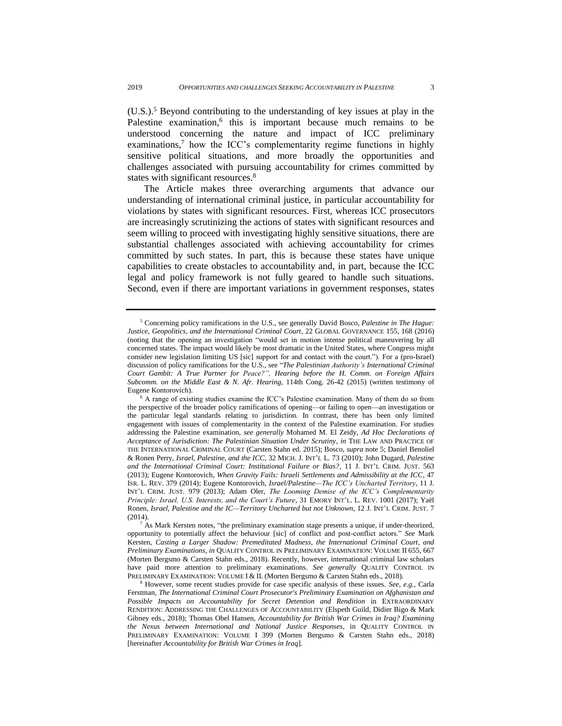<span id="page-4-3"></span><span id="page-4-2"></span><span id="page-4-0"></span>(U.S.). <sup>5</sup> Beyond contributing to the understanding of key issues at play in the Palestine examination,<sup>6</sup> this is important because much remains to be understood concerning the nature and impact of ICC preliminary examinations, <sup>7</sup> how the ICC's complementarity regime functions in highly sensitive political situations, and more broadly the opportunities and challenges associated with pursuing accountability for crimes committed by states with significant resources.<sup>8</sup>

<span id="page-4-1"></span>The Article makes three overarching arguments that advance our understanding of international criminal justice, in particular accountability for violations by states with significant resources. First, whereas ICC prosecutors are increasingly scrutinizing the actions of states with significant resources and seem willing to proceed with investigating highly sensitive situations, there are substantial challenges associated with achieving accountability for crimes committed by such states. In part, this is because these states have unique capabilities to create obstacles to accountability and, in part, because the ICC legal and policy framework is not fully geared to handle such situations. Second, even if there are important variations in government responses, states

<sup>5</sup> Concerning policy ramifications in the U.S., see generally David Bosco, *Palestine in The Hague: Justice, Geopolitics, and the International Criminal Court*, 22 GLOBAL GOVERNANCE 155, 168 (2016) (noting that the opening an investigation "would set in motion intense political maneuvering by all concerned states. The impact would likely be most dramatic in the United States, where Congress might consider new legislation limiting US [sic] support for and contact with the court."). For a (pro-Israel) discussion of policy ramifications for the U.S., see "*The Palestinian Authority's International Criminal Court Gambit: A True Partner for Peace?", Hearing before the H. Comm. on Foreign Affairs Subcomm. on the Middle East & N. Afr. Hearing*, 114th Cong. 26-42 (2015) (written testimony of Eugene Kontorovich).

<sup>&</sup>lt;sup>6</sup> A range of existing studies examine the ICC's Palestine examination. Many of them do so from the perspective of the broader policy ramifications of opening—or failing to open—an investigation or the particular legal standards relating to jurisdiction. In contrast, there has been only limited engagement with issues of complementarity in the context of the Palestine examination. For studies addressing the Palestine examination, *see generally* Mohamed M. El Zeidy, *Ad Hoc Declarations of Acceptance of Jurisdiction: The Palestinian Situation Under Scrutiny*, *in* THE LAW AND PRACTICE OF THE INTERNATIONAL CRIMINAL COURT (Carsten Stahn ed. 2015); Bosco, *supra* not[e 5;](#page-4-0) Daniel Benoliel & Ronen Perry, *Israel, Palestine, and the ICC*, 32 MICH. J. INT'L L. 73 (2010); John Dugard, *Palestine and the International Criminal Court: Institutional Failure or Bias?*, 11 J. INT'L CRIM. JUST. 563 (2013); Eugene Kontorovich, *When Gravity Fails: Israeli Settlements and Admissibility at the ICC*, 47 ISR. L. REV. 379 (2014); Eugene Kontorovich, *Israel/Palestine—The ICC's Uncharted Territory*, 11 J. INT'L CRIM. JUST. 979 (2013); Adam Oler, *The Looming Demise of the ICC's Complementarity Principle: Israel, U.S. Interests, and the Court's Future*, 31 EMORY INT'L. L. REV. 1001 (2017); Yaël Ronen, *Israel, Palestine and the IC—Territory Uncharted but not Unknown*, 12 J. INT'L CRIM. JUST. 7 (2014).

 $^7$  As Mark Kersten notes, "the preliminary examination stage presents a unique, if under-theorized, opportunity to potentially affect the behaviour [sic] of conflict and post-conflict actors." *See* Mark Kersten, *Casting a Larger Shadow: Premeditated Madness, the International Criminal Court, and Preliminary Examinations*, *in* QUALITY CONTROL IN PRELIMINARY EXAMINATION: VOLUME II 655, 667 (Morten Bergsmo & Carsten Stahn eds., 2018). Recently, however, international criminal law scholars have paid more attention to preliminary examinations. *See generally* QUALITY CONTROL IN PRELIMINARY EXAMINATION: VOLUME I & II. (Morten Bergsmo & Carsten Stahn eds., 2018).

<sup>8</sup> However, some recent studies provide for case specific analysis of these issues. *See, e.g.*, Carla Ferstman, *The International Criminal Court Prosecutor's Preliminary Examination on Afghanistan and Possible Impacts on Accountability for Secret Detention and Rendition* in EXTRAORDINARY RENDITION: ADDRESSING THE CHALLENGES OF ACCOUNTABILITY (Elspeth Guild, Didier Bigo & Mark Gibney eds., 2018); Thomas Obel Hansen, *Accountability for British War Crimes in Iraq? Examining the Nexus between International and National Justice Responses*, in QUALITY CONTROL IN PRELIMINARY EXAMINATION: VOLUME I 399 (Morten Bergsmo & Carsten Stahn eds., 2018) [hereinafter *Accountability for British War Crimes in Iraq*].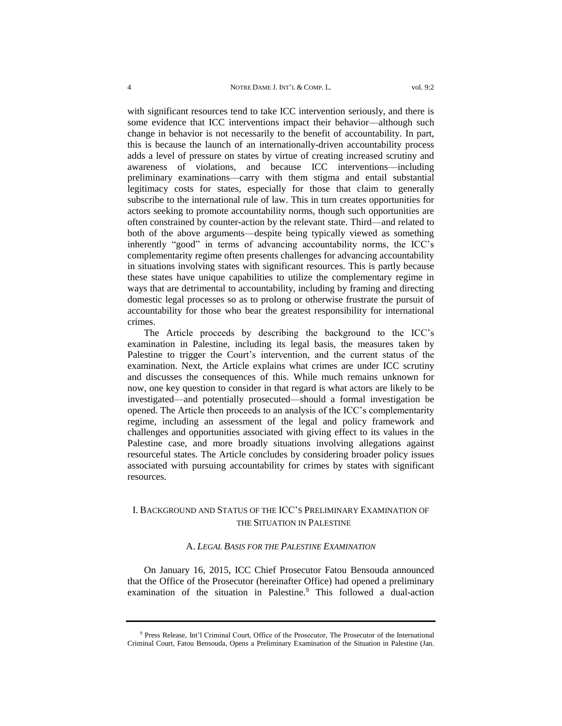with significant resources tend to take ICC intervention seriously, and there is some evidence that ICC interventions impact their behavior—although such change in behavior is not necessarily to the benefit of accountability. In part, this is because the launch of an internationally-driven accountability process adds a level of pressure on states by virtue of creating increased scrutiny and awareness of violations, and because ICC interventions—including preliminary examinations—carry with them stigma and entail substantial legitimacy costs for states, especially for those that claim to generally subscribe to the international rule of law. This in turn creates opportunities for actors seeking to promote accountability norms, though such opportunities are often constrained by counter-action by the relevant state. Third—and related to both of the above arguments—despite being typically viewed as something inherently "good" in terms of advancing accountability norms, the ICC's complementarity regime often presents challenges for advancing accountability in situations involving states with significant resources. This is partly because these states have unique capabilities to utilize the complementary regime in ways that are detrimental to accountability, including by framing and directing domestic legal processes so as to prolong or otherwise frustrate the pursuit of accountability for those who bear the greatest responsibility for international crimes.

The Article proceeds by describing the background to the ICC's examination in Palestine, including its legal basis, the measures taken by Palestine to trigger the Court's intervention, and the current status of the examination. Next, the Article explains what crimes are under ICC scrutiny and discusses the consequences of this. While much remains unknown for now, one key question to consider in that regard is what actors are likely to be investigated—and potentially prosecuted—should a formal investigation be opened. The Article then proceeds to an analysis of the ICC's complementarity regime, including an assessment of the legal and policy framework and challenges and opportunities associated with giving effect to its values in the Palestine case, and more broadly situations involving allegations against resourceful states. The Article concludes by considering broader policy issues associated with pursuing accountability for crimes by states with significant resources.

## <span id="page-5-0"></span>I. BACKGROUND AND STATUS OF THE ICC'S PRELIMINARY EXAMINATION OF THE SITUATION IN PALESTINE

#### <span id="page-5-1"></span>A. *LEGAL BASIS FOR THE PALESTINE EXAMINATION*

On January 16, 2015, ICC Chief Prosecutor Fatou Bensouda announced that the Office of the Prosecutor (hereinafter Office) had opened a preliminary examination of the situation in Palestine.<sup>9</sup> This followed a dual-action

<sup>&</sup>lt;sup>9</sup> Press Release, Int'l Criminal Court, Office of the Prosecutor, The Prosecutor of the International Criminal Court, Fatou Bensouda, Opens a Preliminary Examination of the Situation in Palestine (Jan.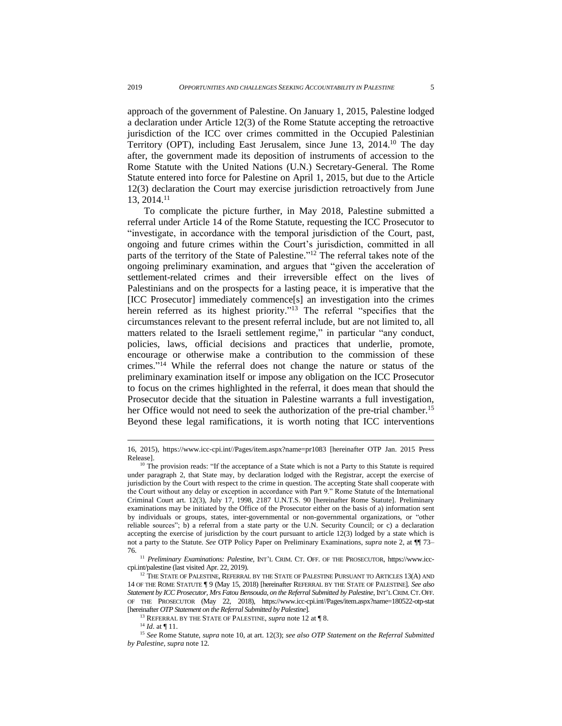approach of the government of Palestine. On January 1, 2015, Palestine lodged a declaration under Article 12(3) of the Rome Statute accepting the retroactive jurisdiction of the ICC over crimes committed in the Occupied Palestinian Territory (OPT), including East Jerusalem, since June 13, 2014.<sup>10</sup> The day after, the government made its deposition of instruments of accession to the Rome Statute with the United Nations (U.N.) Secretary-General. The Rome Statute entered into force for Palestine on April 1, 2015, but due to the Article 12(3) declaration the Court may exercise jurisdiction retroactively from June 13, 2014.<sup>11</sup>

<span id="page-6-0"></span>To complicate the picture further, in May 2018, Palestine submitted a referral under Article 14 of the Rome Statute, requesting the ICC Prosecutor to "investigate, in accordance with the temporal jurisdiction of the Court, past, ongoing and future crimes within the Court's jurisdiction, committed in all parts of the territory of the State of Palestine."<sup>12</sup> The referral takes note of the ongoing preliminary examination, and argues that "given the acceleration of settlement-related crimes and their irreversible effect on the lives of Palestinians and on the prospects for a lasting peace, it is imperative that the [ICC Prosecutor] immediately commence[s] an investigation into the crimes herein referred as its highest priority." <sup>13</sup> The referral "specifies that the circumstances relevant to the present referral include, but are not limited to, all matters related to the Israeli settlement regime," in particular "any conduct, policies, laws, official decisions and practices that underlie, promote, encourage or otherwise make a contribution to the commission of these crimes." <sup>14</sup> While the referral does not change the nature or status of the preliminary examination itself or impose any obligation on the ICC Prosecutor to focus on the crimes highlighted in the referral, it does mean that should the Prosecutor decide that the situation in Palestine warrants a full investigation, her Office would not need to seek the authorization of the pre-trial chamber.<sup>15</sup> Beyond these legal ramifications, it is worth noting that ICC interventions

<sup>16,</sup> 2015), [https://www.icc-cpi.int//Pages/item.aspx?name=pr1083](https://www.icc-cpi.int/Pages/item.aspx?name=pr1083) [hereinafter OTP Jan. 2015 Press Release].

 $10$  The provision reads: "If the acceptance of a State which is not a Party to this Statute is required under paragraph 2, that State may, by declaration lodged with the Registrar, accept the exercise of jurisdiction by the Court with respect to the crime in question. The accepting State shall cooperate with the Court without any delay or exception in accordance with Part 9." Rome Statute of the International Criminal Court art. 12(3), July 17, 1998, 2187 U.N.T.S. 90 [hereinafter Rome Statute]. Preliminary examinations may be initiated by the Office of the Prosecutor either on the basis of a) information sent by individuals or groups, states, inter-governmental or non-governmental organizations, or "other reliable sources"; b) a referral from a state party or the U.N. Security Council; or c) a declaration accepting the exercise of jurisdiction by the court pursuant to article 12(3) lodged by a state which is not a party to the Statute. *See* OTP Policy Paper on Preliminary Examinations, *supra* note [2,](#page-3-0) at ¶¶ 73– 76.

<sup>11</sup> *Preliminary Examinations: Palestine*, INT'L CRIM. CT. OFF. OF THE PROSECUTOR, [https://www.icc](https://www.icc-cpi.int/palestine)[cpi.int/palestine](https://www.icc-cpi.int/palestine) (last visited Apr. 22, 2019).

 $^{12}$  The State of Palestine, Referral by the State of Palestine Pursuant to Articles 13(A) and 14 OF THE ROME STATUTE ¶ 9 (May 15, 2018) [hereinafter REFERRAL BY THE STATE OF PALESTINE]. *See also Statement by ICC Prosecutor, Mrs Fatou Bensouda, on the Referral Submitted by Palestine*, INT'LCRIM.CT.OFF. OF THE PROSECUTOR (May 22, 2018), [https://www.icc-cpi.int//Pages/item.aspx?name=180522-otp-stat](https://www.icc-cpi.int/Pages/item.aspx?name=180522-otp-stat) [hereinafter *OTP Statement on the Referral Submitted by Palestine*]*.*

<sup>13</sup> REFERRAL BY THE STATE OF PALESTINE, *supra* note [12](#page-6-0) at ¶ 8.

<sup>14</sup> *Id*. at ¶ 11.

<sup>15</sup> *See* Rome Statute, *supra* note 10, at art. 12(3); *see also OTP Statement on the Referral Submitted by Palestine*, *supra* note 12*.*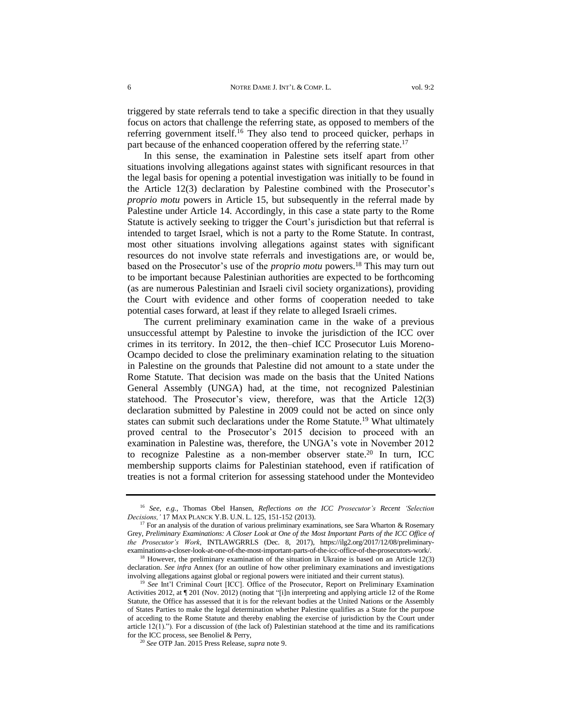triggered by state referrals tend to take a specific direction in that they usually focus on actors that challenge the referring state, as opposed to members of the referring government itself.<sup>16</sup> They also tend to proceed quicker, perhaps in part because of the enhanced cooperation offered by the referring state.<sup>17</sup>

In this sense, the examination in Palestine sets itself apart from other situations involving allegations against states with significant resources in that the legal basis for opening a potential investigation was initially to be found in the Article 12(3) declaration by Palestine combined with the Prosecutor's *proprio motu* powers in Article 15, but subsequently in the referral made by Palestine under Article 14. Accordingly, in this case a state party to the Rome Statute is actively seeking to trigger the Court's jurisdiction but that referral is intended to target Israel, which is not a party to the Rome Statute. In contrast, most other situations involving allegations against states with significant resources do not involve state referrals and investigations are, or would be, based on the Prosecutor's use of the *proprio motu* powers.<sup>18</sup> This may turn out to be important because Palestinian authorities are expected to be forthcoming (as are numerous Palestinian and Israeli civil society organizations), providing the Court with evidence and other forms of cooperation needed to take potential cases forward, at least if they relate to alleged Israeli crimes.

The current preliminary examination came in the wake of a previous unsuccessful attempt by Palestine to invoke the jurisdiction of the ICC over crimes in its territory. In 2012, the then–chief ICC Prosecutor Luis Moreno-Ocampo decided to close the preliminary examination relating to the situation in Palestine on the grounds that Palestine did not amount to a state under the Rome Statute. That decision was made on the basis that the United Nations General Assembly (UNGA) had, at the time, not recognized Palestinian statehood. The Prosecutor's view, therefore, was that the Article 12(3) declaration submitted by Palestine in 2009 could not be acted on since only states can submit such declarations under the Rome Statute.<sup>19</sup> What ultimately proved central to the Prosecutor's 2015 decision to proceed with an examination in Palestine was, therefore, the UNGA's vote in November 2012 to recognize Palestine as a non-member observer state.<sup>20</sup> In turn, ICC membership supports claims for Palestinian statehood, even if ratification of treaties is not a formal criterion for assessing statehood under the Montevideo

<sup>20</sup> *See* OTP Jan. 2015 Press Release, *supra* note [9.](#page-5-1)

<sup>16</sup> *See, e.g.*, Thomas Obel Hansen, *Reflections on the ICC Prosecutor's Recent 'Selection Decisions,'* 17 MAX PLANCK Y.B. U.N. L. 125, 151-152 (2013).

<sup>&</sup>lt;sup>17</sup> For an analysis of the duration of various preliminary examinations, see Sara Wharton & Rosemary Grey, *Preliminary Examinations: A Closer Look at One of the Most Important Parts of the ICC Office of the Prosecutor's Work*, INTLAWGRRLS (Dec. 8, 2017), [https://ilg2.org/2017/12/08/preliminary](https://ilg2.org/2017/12/08/preliminary-examinations-a-closer-look-at-one-of-the-most-important-parts-of-the-icc-office-of-the-prosecutors-work/)[examinations-a-closer-look-at-one-of-the-most-important-parts-of-the-icc-office-of-the-prosecutors-work/.](https://ilg2.org/2017/12/08/preliminary-examinations-a-closer-look-at-one-of-the-most-important-parts-of-the-icc-office-of-the-prosecutors-work/)

 $18$  However, the preliminary examination of the situation in Ukraine is based on an Article 12(3) declaration. *See infra* Annex (for an outline of how other preliminary examinations and investigations involving allegations against global or regional powers were initiated and their current status).

<sup>&</sup>lt;sup>19</sup> See Int'l Criminal Court [ICC]. Office of the Prosecutor, Report on Preliminary Examination Activities 2012, at ¶ 201 (Nov. 2012) (noting that "[i]n interpreting and applying article 12 of the Rome Statute, the Office has assessed that it is for the relevant bodies at the United Nations or the Assembly of States Parties to make the legal determination whether Palestine qualifies as a State for the purpose of acceding to the Rome Statute and thereby enabling the exercise of jurisdiction by the Court under article 12(1)."). For a discussion of (the lack of) Palestinian statehood at the time and its ramifications for the ICC process, see Benoliel & Perry,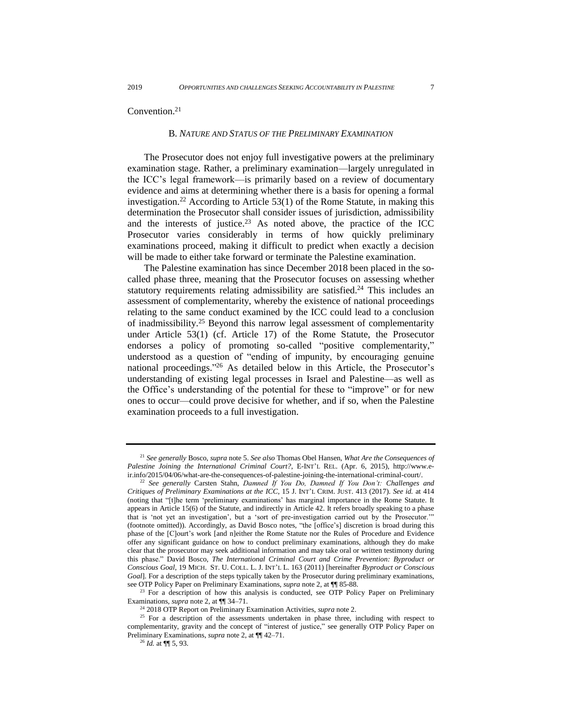#### <span id="page-8-0"></span>Convention.<sup>21</sup>

#### B*. NATURE AND STATUS OF THE PRELIMINARY EXAMINATION*

<span id="page-8-1"></span>The Prosecutor does not enjoy full investigative powers at the preliminary examination stage. Rather, a preliminary examination—largely unregulated in the ICC's legal framework—is primarily based on a review of documentary evidence and aims at determining whether there is a basis for opening a formal investigation.<sup>22</sup> According to Article  $53(1)$  of the Rome Statute, in making this determination the Prosecutor shall consider issues of jurisdiction, admissibility and the interests of justice.<sup>23</sup> As noted above, the practice of the ICC Prosecutor varies considerably in terms of how quickly preliminary examinations proceed, making it difficult to predict when exactly a decision will be made to either take forward or terminate the Palestine examination.

The Palestine examination has since December 2018 been placed in the socalled phase three, meaning that the Prosecutor focuses on assessing whether statutory requirements relating admissibility are satisfied.<sup>24</sup> This includes an assessment of complementarity, whereby the existence of national proceedings relating to the same conduct examined by the ICC could lead to a conclusion of inadmissibility.<sup>25</sup> Beyond this narrow legal assessment of complementarity under Article 53(1) (cf. Article 17) of the Rome Statute, the Prosecutor endorses a policy of promoting so-called "positive complementarity," understood as a question of "ending of impunity, by encouraging genuine national proceedings." <sup>26</sup> As detailed below in this Article, the Prosecutor's understanding of existing legal processes in Israel and Palestine—as well as the Office's understanding of the potential for these to "improve" or for new ones to occur—could prove decisive for whether, and if so, when the Palestine examination proceeds to a full investigation.

 $23$  For a description of how this analysis is conducted, see OTP Policy Paper on Preliminary Examinations, *supra* note [2,](#page-3-0) at ¶¶ 34–71.

<sup>21</sup> *See generally* Bosco, *supra* note [5.](#page-4-0) *See also* Thomas Obel Hansen, *What Are the Consequences of Palestine Joining the International Criminal Court?*, E-INT'L REL. (Apr. 6, 2015), [http://www.e](http://www.e-ir.info/2015/04/06/what-are-the-consequences-of-palestine-joining-the-international-criminal-court/)[ir.info/2015/04/06/what-are-the-consequences-of-palestine-joining-the-international-criminal-court/.](http://www.e-ir.info/2015/04/06/what-are-the-consequences-of-palestine-joining-the-international-criminal-court/)

<sup>22</sup> *See generally* Carsten Stahn, *Damned If You Do, Damned If You Don't: Challenges and Critiques of Preliminary Examinations at the ICC*, 15 J. INT'L CRIM. JUST. 413 (2017). *See id.* at 414 (noting that "[t]he term 'preliminary examinations' has marginal importance in the Rome Statute. It appears in Article 15(6) of the Statute, and indirectly in Article 42. It refers broadly speaking to a phase that is 'not yet an investigation', but a 'sort of pre-investigation carried out by the Prosecutor.'" (footnote omitted)). Accordingly, as David Bosco notes, "the [office's] discretion is broad during this phase of the [C]ourt's work [and n]either the Rome Statute nor the Rules of Procedure and Evidence offer any significant guidance on how to conduct preliminary examinations, although they do make clear that the prosecutor may seek additional information and may take oral or written testimony during this phase." David Bosco, *The International Criminal Court and Crime Prevention: Byproduct or Conscious Goal*, 19 MICH. ST. U. COLL. L. J. INT'L L. 163 (2011) [hereinafter *Byproduct or Conscious Goal*]. For a description of the steps typically taken by the Prosecutor during preliminary examinations, see OTP Policy Paper on Preliminary Examinations, *supra* note [2,](#page-3-0) at ¶¶ 85-88.

<sup>24</sup> 2018 OTP Report on Preliminary Examination Activities, *supra* note 2.

<sup>&</sup>lt;sup>25</sup> For a description of the assessments undertaken in phase three, including with respect to complementarity, gravity and the concept of "interest of justice," see generally OTP Policy Paper on Preliminary Examinations, *supra* note [2,](#page-3-0) at ¶¶ 42–71.

<sup>26</sup> *Id.* at ¶¶ 5, 93.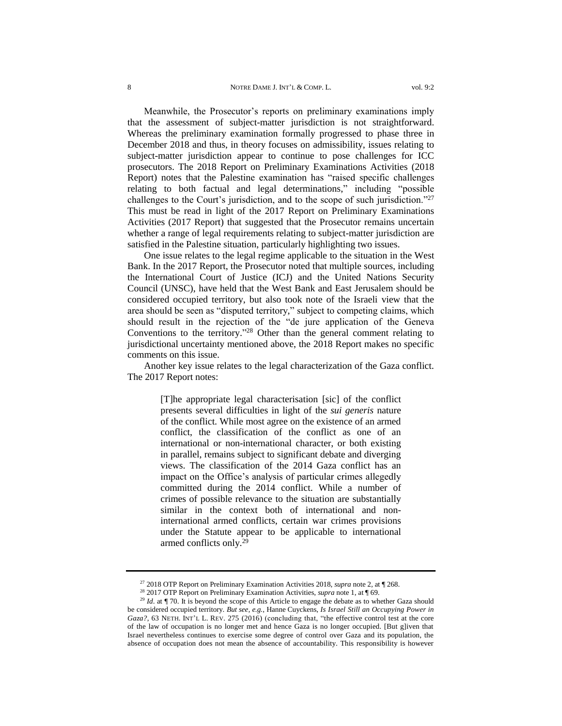Meanwhile, the Prosecutor's reports on preliminary examinations imply that the assessment of subject-matter jurisdiction is not straightforward. Whereas the preliminary examination formally progressed to phase three in December 2018 and thus, in theory focuses on admissibility, issues relating to subject-matter jurisdiction appear to continue to pose challenges for ICC prosecutors. The 2018 Report on Preliminary Examinations Activities (2018 Report) notes that the Palestine examination has "raised specific challenges relating to both factual and legal determinations," including "possible challenges to the Court's jurisdiction, and to the scope of such jurisdiction."<sup>27</sup> This must be read in light of the 2017 Report on Preliminary Examinations Activities (2017 Report) that suggested that the Prosecutor remains uncertain whether a range of legal requirements relating to subject-matter jurisdiction are

One issue relates to the legal regime applicable to the situation in the West Bank. In the 2017 Report, the Prosecutor noted that multiple sources, including the International Court of Justice (ICJ) and the United Nations Security Council (UNSC), have held that the West Bank and East Jerusalem should be considered occupied territory, but also took note of the Israeli view that the area should be seen as "disputed territory," subject to competing claims, which should result in the rejection of the "de jure application of the Geneva Conventions to the territory." <sup>28</sup> Other than the general comment relating to jurisdictional uncertainty mentioned above, the 2018 Report makes no specific comments on this issue.

satisfied in the Palestine situation, particularly highlighting two issues.

Another key issue relates to the legal characterization of the Gaza conflict. The 2017 Report notes:

> [T]he appropriate legal characterisation [sic] of the conflict presents several difficulties in light of the *sui generis* nature of the conflict. While most agree on the existence of an armed conflict, the classification of the conflict as one of an international or non-international character, or both existing in parallel, remains subject to significant debate and diverging views. The classification of the 2014 Gaza conflict has an impact on the Office's analysis of particular crimes allegedly committed during the 2014 conflict. While a number of crimes of possible relevance to the situation are substantially similar in the context both of international and noninternational armed conflicts, certain war crimes provisions under the Statute appear to be applicable to international armed conflicts only.<sup>29</sup>

<sup>27</sup> 2018 OTP Report on Preliminary Examination Activities 2018, *supra* note 2, at ¶ 268.

<sup>&</sup>lt;sup>28</sup> 2017 OTP Report on Preliminary Examination Activities, *supra* note 1, at ¶ 69.

<sup>&</sup>lt;sup>29</sup> *Id*. at ¶ 70. It is beyond the scope of this Article to engage the debate as to whether Gaza should be considered occupied territory. *But see, e.g.*, Hanne Cuyckens, *Is Israel Still an Occupying Power in Gaza?*, 63 NETH. INT'L L. REV. 275 (2016) (concluding that, "the effective control test at the core of the law of occupation is no longer met and hence Gaza is no longer occupied. [But g]iven that Israel nevertheless continues to exercise some degree of control over Gaza and its population, the absence of occupation does not mean the absence of accountability. This responsibility is however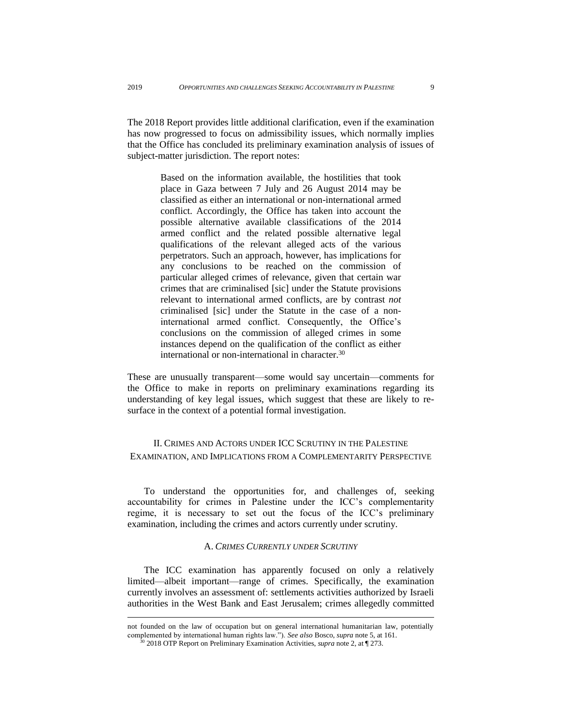The 2018 Report provides little additional clarification, even if the examination has now progressed to focus on admissibility issues, which normally implies that the Office has concluded its preliminary examination analysis of issues of subject-matter jurisdiction. The report notes:

> Based on the information available, the hostilities that took place in Gaza between 7 July and 26 August 2014 may be classified as either an international or non-international armed conflict. Accordingly, the Office has taken into account the possible alternative available classifications of the 2014 armed conflict and the related possible alternative legal qualifications of the relevant alleged acts of the various perpetrators. Such an approach, however, has implications for any conclusions to be reached on the commission of particular alleged crimes of relevance, given that certain war crimes that are criminalised [sic] under the Statute provisions relevant to international armed conflicts, are by contrast *not* criminalised [sic] under the Statute in the case of a noninternational armed conflict. Consequently, the Office's conclusions on the commission of alleged crimes in some instances depend on the qualification of the conflict as either international or non-international in character.<sup>30</sup>

These are unusually transparent—some would say uncertain—comments for the Office to make in reports on preliminary examinations regarding its understanding of key legal issues, which suggest that these are likely to resurface in the context of a potential formal investigation.

## <span id="page-10-0"></span>II. CRIMES AND ACTORS UNDER ICC SCRUTINY IN THE PALESTINE EXAMINATION, AND IMPLICATIONS FROM A COMPLEMENTARITY PERSPECTIVE

To understand the opportunities for, and challenges of, seeking accountability for crimes in Palestine under the ICC's complementarity regime, it is necessary to set out the focus of the ICC's preliminary examination, including the crimes and actors currently under scrutiny.

#### A. *CRIMES CURRENTLY UNDER SCRUTINY*

<span id="page-10-1"></span>The ICC examination has apparently focused on only a relatively limited—albeit important—range of crimes. Specifically, the examination currently involves an assessment of: settlements activities authorized by Israeli authorities in the West Bank and East Jerusalem; crimes allegedly committed

not founded on the law of occupation but on general international humanitarian law, potentially complemented by international human rights law."). *See also* Bosco, *supra* not[e 5,](#page-4-0) at 161.

<sup>30</sup> 2018 OTP Report on Preliminary Examination Activities, *supra* note 2, at ¶ 273.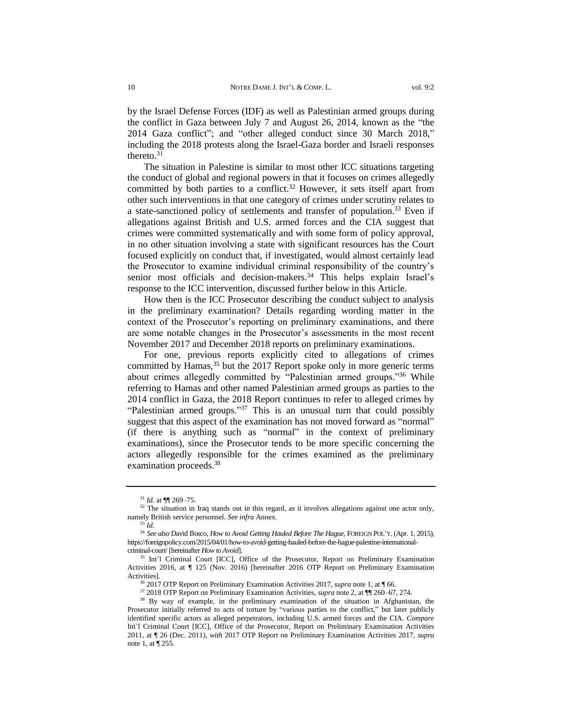by the Israel Defense Forces (IDF) as well as Palestinian armed groups during the conflict in Gaza between July 7 and August 26, 2014, known as the "the 2014 Gaza conflict"; and "other alleged conduct since 30 March 2018," including the 2018 protests along the Israel-Gaza border and Israeli responses thereto. 31

The situation in Palestine is similar to most other ICC situations targeting the conduct of global and regional powers in that it focuses on crimes allegedly committed by both parties to a conflict.<sup>32</sup> However, it sets itself apart from other such interventions in that one category of crimes under scrutiny relates to a state-sanctioned policy of settlements and transfer of population.<sup>33</sup> Even if allegations against British and U.S. armed forces and the CIA suggest that crimes were committed systematically and with some form of policy approval, in no other situation involving a state with significant resources has the Court focused explicitly on conduct that, if investigated, would almost certainly lead the Prosecutor to examine individual criminal responsibility of the country's senior most officials and decision-makers.<sup>34</sup> This helps explain Israel's response to the ICC intervention, discussed further below in this Article.

How then is the ICC Prosecutor describing the conduct subject to analysis in the preliminary examination? Details regarding wording matter in the context of the Prosecutor's reporting on preliminary examinations, and there are some notable changes in the Prosecutor's assessments in the most recent November 2017 and December 2018 reports on preliminary examinations.

For one, previous reports explicitly cited to allegations of crimes committed by Hamas,<sup>35</sup> but the 2017 Report spoke only in more generic terms about crimes allegedly committed by "Palestinian armed groups." <sup>36</sup> While referring to Hamas and other named Palestinian armed groups as parties to the 2014 conflict in Gaza, the 2018 Report continues to refer to alleged crimes by "Palestinian armed groups."<sup>37</sup> This is an unusual turn that could possibly suggest that this aspect of the examination has not moved forward as "normal" (if there is anything such as "normal" in the context of preliminary examinations), since the Prosecutor tends to be more specific concerning the actors allegedly responsible for the crimes examined as the preliminary examination proceeds.<sup>38</sup>

<sup>37</sup> 2018 OTP Report on Preliminary Examination Activities, *supra* note 2, at ¶¶ 260–67, 274.

<sup>31</sup> *Id.* at ¶¶ 269–75.

 $32$  The situation in Iraq stands out in this regard, as it involves allegations against one actor only, namely British service personnel. *See infra* Annex.

<sup>33</sup> *Id.*

<sup>34</sup> *See also* David Bosco, *How to Avoid Getting Hauled Before The Hague*, FOREIGN POL'Y. (Apr. 1, 2015), [https://foreignpolicy.com/2015/04/01/how-to-avoid-getting-hauled-before-the-hague-palestine-international](https://foreignpolicy.com/2015/04/01/how-to-avoid-getting-hauled-before-the-hague-palestine-international-criminal-court/)[criminal-court/](https://foreignpolicy.com/2015/04/01/how-to-avoid-getting-hauled-before-the-hague-palestine-international-criminal-court/) [hereinafter *How to Avoid*].

<sup>&</sup>lt;sup>35</sup> Int'l Criminal Court [ICC], Office of the Prosecutor, Report on Preliminary Examination Activities 2016, at ¶ 125 (Nov. 2016) [hereinafter 2016 OTP Report on Preliminary Examination Activities].

<sup>36</sup> 2017 OTP Report on Preliminary Examination Activities 2017, *supra* note [1,](#page-3-1) at ¶ 66.

<sup>&</sup>lt;sup>38</sup> By way of example, in the preliminary examination of the situation in Afghanistan, the Prosecutor initially referred to acts of torture by "various parties to the conflict," but later publicly identified specific actors as alleged perpetrators, including U.S. armed forces and the CIA. *Compare* Int'l Criminal Court [ICC], Office of the Prosecutor, Report on Preliminary Examination Activities 2011, at ¶ 26 (Dec. 2011), *with* 2017 OTP Report on Preliminary Examination Activities 2017, *supra* note [1,](#page-3-1) at ¶ 255.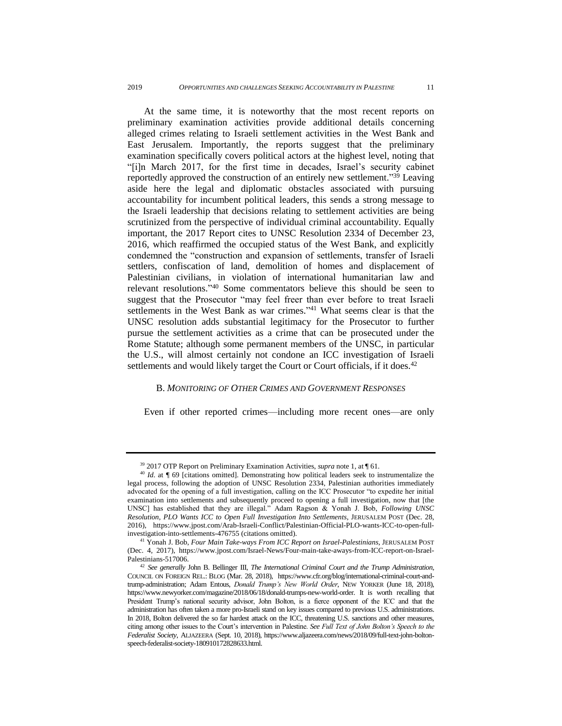At the same time, it is noteworthy that the most recent reports on preliminary examination activities provide additional details concerning alleged crimes relating to Israeli settlement activities in the West Bank and East Jerusalem. Importantly, the reports suggest that the preliminary examination specifically covers political actors at the highest level, noting that "[i]n March 2017, for the first time in decades, Israel's security cabinet reportedly approved the construction of an entirely new settlement."<sup>39</sup> Leaving aside here the legal and diplomatic obstacles associated with pursuing accountability for incumbent political leaders, this sends a strong message to the Israeli leadership that decisions relating to settlement activities are being scrutinized from the perspective of individual criminal accountability. Equally important, the 2017 Report cites to UNSC Resolution 2334 of December 23, 2016, which reaffirmed the occupied status of the West Bank, and explicitly condemned the "construction and expansion of settlements, transfer of Israeli settlers, confiscation of land, demolition of homes and displacement of Palestinian civilians, in violation of international humanitarian law and relevant resolutions." <sup>40</sup> Some commentators believe this should be seen to suggest that the Prosecutor "may feel freer than ever before to treat Israeli settlements in the West Bank as war crimes." <sup>41</sup> What seems clear is that the UNSC resolution adds substantial legitimacy for the Prosecutor to further pursue the settlement activities as a crime that can be prosecuted under the Rome Statute; although some permanent members of the UNSC, in particular the U.S., will almost certainly not condone an ICC investigation of Israeli settlements and would likely target the Court or Court officials, if it does.<sup>42</sup>

#### <span id="page-12-0"></span>B. *MONITORING OF OTHER CRIMES AND GOVERNMENT RESPONSES*

Even if other reported crimes—including more recent ones—are only

<sup>39</sup> 2017 OTP Report on Preliminary Examination Activities, *supra* note [1,](#page-3-1) at ¶ 61.

<sup>&</sup>lt;sup>40</sup> *Id.* at ¶ 69 [citations omitted]. Demonstrating how political leaders seek to instrumentalize the legal process, following the adoption of UNSC Resolution 2334, Palestinian authorities immediately advocated for the opening of a full investigation, calling on the ICC Prosecutor "to expedite her initial examination into settlements and subsequently proceed to opening a full investigation, now that [the UNSC] has established that they are illegal." Adam Ragson & Yonah J. Bob, *Following UNSC Resolution, PLO Wants ICC to Open Full Investigation Into Settlements*, JERUSALEM POST (Dec. 28, 2016), [https://www.jpost.com/Arab-Israeli-Conflict/Palestinian-Official-PLO-wants-ICC-to-open-full](https://www.jpost.com/Arab-Israeli-Conflict/Palestinian-Official-PLO-wants-ICC-to-open-full-investigation-into-settlements-476755)[investigation-into-settlements-476755](https://www.jpost.com/Arab-Israeli-Conflict/Palestinian-Official-PLO-wants-ICC-to-open-full-investigation-into-settlements-476755) (citations omitted).

<sup>41</sup> Yonah J. Bob, *Four Main Take-ways From ICC Report on Israel-Palestinians*, JERUSALEM POST (Dec. 4, 2017), [https://www.jpost.com/Israel-News/Four-main-take-aways-from-ICC-report-on-Israel-](https://www.jpost.com/Israel-News/Four-main-take-aways-from-ICC-report-on-Israel-Palestinians-517006)[Palestinians-517006.](https://www.jpost.com/Israel-News/Four-main-take-aways-from-ICC-report-on-Israel-Palestinians-517006)

<sup>42</sup> *See generally* John B. Bellinger III*, The International Criminal Court and the Trump Administration*, COUNCIL ON FOREIGN REL.: BLOG (Mar. 28, 2018), [https://www.cfr.org/blog/international-criminal-court-and](https://www.cfr.org/blog/international-criminal-court-and-trump-administration)[trump-administration;](https://www.cfr.org/blog/international-criminal-court-and-trump-administration) Adam Entous, *Donald Trump's New World Order*, NEW YORKER (June 18, 2018), [https://www.newyorker.com/magazine/2018/06/18/donald-trumps-new-world-order.](https://www.newyorker.com/magazine/2018/06/18/donald-trumps-new-world-order) It is worth recalling that President Trump's national security advisor, John Bolton, is a fierce opponent of the ICC and that the administration has often taken a more pro-Israeli stand on key issues compared to previous U.S. administrations. In 2018, Bolton delivered the so far hardest attack on the ICC, threatening U.S. sanctions and other measures, citing among other issues to the Court's intervention in Palestine. *See Full Text of John Bolton's Speech to the Federalist Society*, ALJAZEERA (Sept. 10, 2018), [https://www.aljazeera.com/news/2018/09/full-text-john-bolton](https://www.aljazeera.com/news/2018/09/full-text-john-bolton-speech-federalist-society-180910172828633.html)[speech-federalist-society-180910172828633.html.](https://www.aljazeera.com/news/2018/09/full-text-john-bolton-speech-federalist-society-180910172828633.html)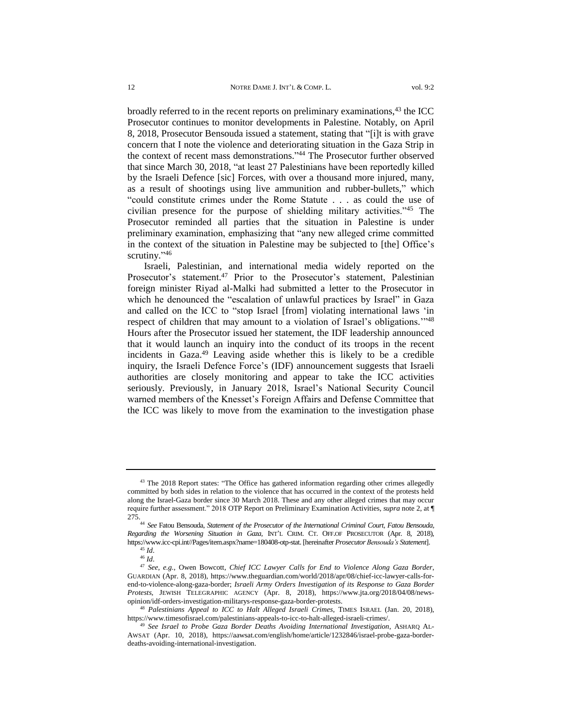broadly referred to in the recent reports on preliminary examinations, <sup>43</sup> the ICC Prosecutor continues to monitor developments in Palestine. Notably, on April 8, 2018, Prosecutor Bensouda issued a statement, stating that "[i]t is with grave concern that I note the violence and deteriorating situation in the Gaza Strip in the context of recent mass demonstrations." <sup>44</sup> The Prosecutor further observed that since March 30, 2018, "at least 27 Palestinians have been reportedly killed by the Israeli Defence [sic] Forces, with over a thousand more injured, many, as a result of shootings using live ammunition and rubber-bullets," which "could constitute crimes under the Rome Statute . . . as could the use of civilian presence for the purpose of shielding military activities."<sup>45</sup> The Prosecutor reminded all parties that the situation in Palestine is under preliminary examination, emphasizing that "any new alleged crime committed in the context of the situation in Palestine may be subjected to [the] Office's scrutiny."<sup>46</sup>

Israeli, Palestinian, and international media widely reported on the Prosecutor's statement.<sup>47</sup> Prior to the Prosecutor's statement, Palestinian foreign minister Riyad al-Malki had submitted a letter to the Prosecutor in which he denounced the "escalation of unlawful practices by Israel" in Gaza and called on the ICC to "stop Israel [from] violating international laws 'in respect of children that may amount to a violation of Israel's obligations."<sup>48</sup> Hours after the Prosecutor issued her statement, the IDF leadership announced that it would launch an inquiry into the conduct of its troops in the recent incidents in Gaza. <sup>49</sup> Leaving aside whether this is likely to be a credible inquiry, the Israeli Defence Force's (IDF) announcement suggests that Israeli authorities are closely monitoring and appear to take the ICC activities seriously. Previously, in January 2018, Israel's National Security Council warned members of the Knesset's Foreign Affairs and Defense Committee that the ICC was likely to move from the examination to the investigation phase

<sup>&</sup>lt;sup>43</sup> The 2018 Report states: "The Office has gathered information regarding other crimes allegedly committed by both sides in relation to the violence that has occurred in the context of the protests held along the Israel-Gaza border since 30 March 2018. These and any other alleged crimes that may occur require further assessment." 2018 OTP Report on Preliminary Examination Activities, *supra* note 2, at ¶ 275.

<sup>44</sup> *See* Fatou Bensouda, *Statement of the Prosecutor of the International Criminal Court, Fatou Bensouda, Regarding the Worsening Situation in Gaza*, INT'L CRIM. CT. OFF.OF PROSECUTOR (Apr. 8, 2018), [https://www.icc-cpi.int//Pages/item.aspx?name=180408-otp-stat.](https://www.icc-cpi.int/Pages/item.aspx?name=180408-otp-stat) [hereinafter *Prosecutor Bensouda's Statement*]. <sup>45</sup> *Id*.

<sup>46</sup> *Id*.

<sup>47</sup> *See, e.g.*, Owen Bowcott, *Chief ICC Lawyer Calls for End to Violence Along Gaza Border*, GUARDIAN (Apr. 8, 2018), [https://www.theguardian.com/world/2018/apr/08/chief-icc-lawyer-calls-for](https://www.theguardian.com/world/2018/apr/08/chief-icc-lawyer-calls-for-end-to-violence-along-gaza-border)[end-to-violence-along-gaza-border;](https://www.theguardian.com/world/2018/apr/08/chief-icc-lawyer-calls-for-end-to-violence-along-gaza-border) *Israeli Army Orders Investigation of its Response to Gaza Border Protests*, JEWISH TELEGRAPHIC AGENCY (Apr. 8, 2018), [https://www.jta.org/2018/04/08/news](https://www.jta.org/2018/04/08/news-opinion/idf-orders-investigation-militarys-response-gaza-border-protests)[opinion/idf-orders-investigation-militarys-response-gaza-border-protests.](https://www.jta.org/2018/04/08/news-opinion/idf-orders-investigation-militarys-response-gaza-border-protests)

<sup>48</sup> *Palestinians Appeal to ICC to Halt Alleged Israeli Crimes*, TIMES ISRAEL (Jan. 20, 2018), [https://www.timesofisrael.com/palestinians-appeals-to-icc-to-halt-alleged-israeli-crimes/.](https://www.timesofisrael.com/palestinians-appeals-to-icc-to-halt-alleged-israeli-crimes/)

<sup>49</sup> *See Israel to Probe Gaza Border Deaths Avoiding International Investigation*, ASHARQ AL-AWSAT (Apr. 10, 2018), [https://aawsat.com/english/home/article/1232846/israel-probe-gaza-border](https://aawsat.com/english/home/article/1232846/israel-probe-gaza-border-deaths-avoiding-international-investigation)[deaths-avoiding-international-investigation.](https://aawsat.com/english/home/article/1232846/israel-probe-gaza-border-deaths-avoiding-international-investigation)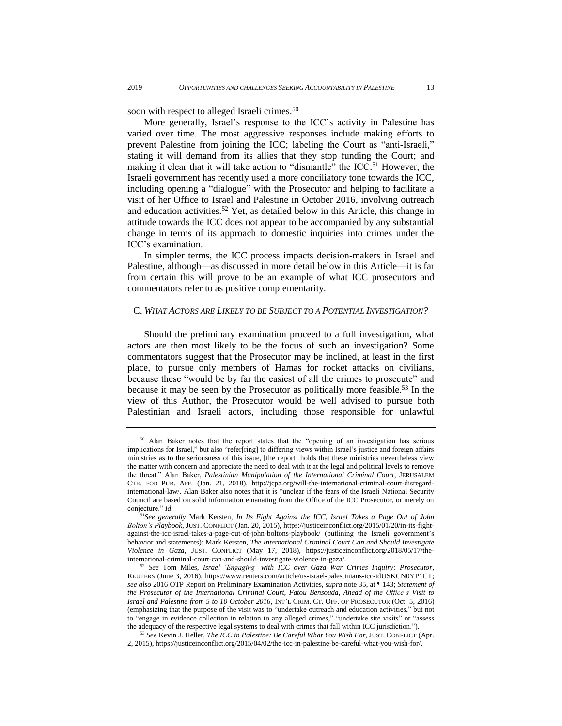soon with respect to alleged Israeli crimes.<sup>50</sup>

More generally, Israel's response to the ICC's activity in Palestine has varied over time. The most aggressive responses include making efforts to prevent Palestine from joining the ICC; labeling the Court as "anti-Israeli," stating it will demand from its allies that they stop funding the Court; and making it clear that it will take action to "dismantle" the ICC.<sup>51</sup> However, the Israeli government has recently used a more conciliatory tone towards the ICC, including opening a "dialogue" with the Prosecutor and helping to facilitate a visit of her Office to Israel and Palestine in October 2016, involving outreach and education activities.<sup>52</sup> Yet, as detailed below in this Article, this change in attitude towards the ICC does not appear to be accompanied by any substantial change in terms of its approach to domestic inquiries into crimes under the ICC's examination.

In simpler terms, the ICC process impacts decision-makers in Israel and Palestine, although—as discussed in more detail below in this Article—it is far from certain this will prove to be an example of what ICC prosecutors and commentators refer to as positive complementarity.

#### <span id="page-14-0"></span>C. *WHAT ACTORS ARE LIKELY TO BE SUBJECT TO A POTENTIAL INVESTIGATION?*

Should the preliminary examination proceed to a full investigation, what actors are then most likely to be the focus of such an investigation? Some commentators suggest that the Prosecutor may be inclined, at least in the first place, to pursue only members of Hamas for rocket attacks on civilians, because these "would be by far the easiest of all the crimes to prosecute" and because it may be seen by the Prosecutor as politically more feasible.<sup>53</sup> In the view of this Author, the Prosecutor would be well advised to pursue both Palestinian and Israeli actors, including those responsible for unlawful

<sup>&</sup>lt;sup>50</sup> Alan Baker notes that the report states that the "opening of an investigation has serious implications for Israel," but also "refer[ring] to differing views within Israel's justice and foreign affairs ministries as to the seriousness of this issue, [the report] holds that these ministries nevertheless view the matter with concern and appreciate the need to deal with it at the legal and political levels to remove the threat." Alan Baker, *Palestinian Manipulation of the International Criminal Court*, JERUSALEM CTR. FOR PUB. AFF. (Jan. 21, 2018), [http://jcpa.org/will-the-international-criminal-court-disregard](http://jcpa.org/will-the-international-criminal-court-disregard-international-law/)[international-law/.](http://jcpa.org/will-the-international-criminal-court-disregard-international-law/) Alan Baker also notes that it is "unclear if the fears of the Israeli National Security Council are based on solid information emanating from the Office of the ICC Prosecutor, or merely on conjecture." *Id.*

<sup>51</sup>*See generally* Mark Kersten, *In Its Fight Against the ICC, Israel Takes a Page Out of John Bolton's Playbook*, JUST. CONFLICT (Jan. 20, 2015), [https://justiceinconflict.org/2015/01/20/in-its-fight](https://justiceinconflict.org/2015/01/20/in-its-fight-against-the-icc-israel-takes-a-page-out-of-john-boltons-playbook/)[against-the-icc-israel-takes-a-page-out-of-john-boltons-playbook/](https://justiceinconflict.org/2015/01/20/in-its-fight-against-the-icc-israel-takes-a-page-out-of-john-boltons-playbook/) (outlining the Israeli government's behavior and statements); Mark Kersten, *The International Criminal Court Can and Should Investigate Violence in Gaza*, JUST. CONFLICT (May 17, 2018), [https://justiceinconflict.org/2018/05/17/the](https://justiceinconflict.org/2018/05/17/the-international-criminal-court-can-and-should-investigate-violence-in-gaza/)[international-criminal-court-can-and-should-investigate-violence-in-gaza/](https://justiceinconflict.org/2018/05/17/the-international-criminal-court-can-and-should-investigate-violence-in-gaza/)*.* 

<sup>52</sup> *See* Tom Miles, *Israel 'Engaging' with ICC over Gaza War Crimes Inquiry: Prosecutor*, REUTERS (June 3, 2016), [https://www.reuters.com/article/us-israel-palestinians-icc-idUSKCN0YP1CT;](https://www.reuters.com/article/us-israel-palestinians-icc-idUSKCN0YP1CT) *see also* 2016 OTP Report on Preliminary Examination Activities, *supra* note 35, at ¶ 143; *[Statement](https://www.icc-cpi.int/Pages/item.aspx?name=161005-OTP-stat-Palestine) of the Prosecutor of the [International](https://www.icc-cpi.int/Pages/item.aspx?name=161005-OTP-stat-Palestine) Criminal Court, Fatou Bensouda, Ahead of the Office's Visit to Israel and [Palestine](https://www.icc-cpi.int/Pages/item.aspx?name=161005-OTP-stat-Palestine) from 5 to 10 October 2016*, INT'L CRIM. CT. OFF. OF PROSECUTOR (Oct. 5, 2016) (emphasizing that the purpose of the visit was to "undertake outreach and education activities," but not to "engage in evidence collection in relation to any alleged crimes," "undertake site visits" or "assess the adequacy of the respective legal systems to deal with crimes that fall within ICC jurisdiction.").

<sup>53</sup> *See* Kevin J. Heller, *The ICC in [Palestine:](https://justiceinconflict.org/2015/04/02/the-icc-in-palestine-be-careful-what-you-wish-for/) Be Careful What You Wish For*, JUST. CONFLICT (Apr. 2, 2015), [https://justiceinconflict.org/2015/04/02/the-icc-in-palestine-be-careful-what-you-wish-for/.](https://justiceinconflict.org/2015/04/02/the-icc-in-palestine-be-careful-what-you-wish-for/)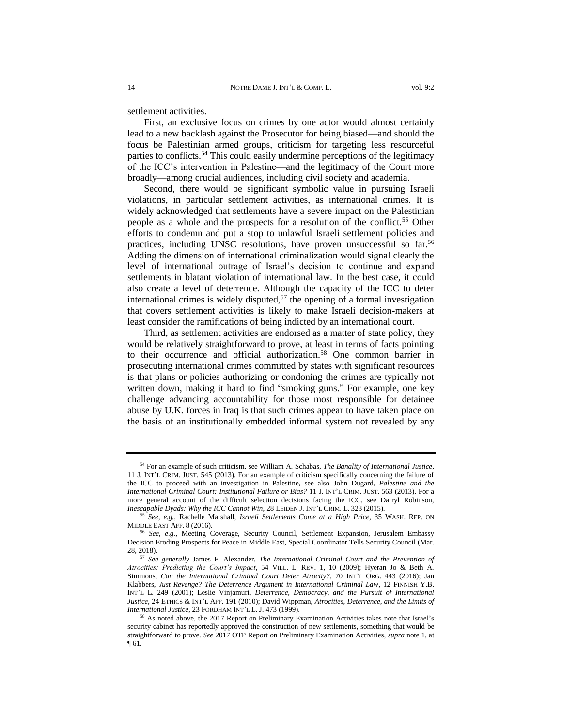settlement activities.

First, an exclusive focus on crimes by one actor would almost certainly lead to a new backlash against the Prosecutor for being biased—and should the focus be Palestinian armed groups, criticism for targeting less resourceful parties to conflicts.<sup>54</sup> This could easily undermine perceptions of the legitimacy of the ICC's intervention in Palestine—and the legitimacy of the Court more broadly—among crucial audiences, including civil society and academia.

Second, there would be significant symbolic value in pursuing Israeli violations, in particular settlement activities, as international crimes. It is widely acknowledged that settlements have a severe impact on the Palestinian people as a whole and the prospects for a resolution of the conflict.<sup>55</sup> Other efforts to condemn and put a stop to unlawful Israeli settlement policies and practices, including UNSC resolutions, have proven unsuccessful so far.<sup>56</sup> Adding the dimension of international criminalization would signal clearly the level of international outrage of Israel's decision to continue and expand settlements in blatant violation of international law. In the best case, it could also create a level of deterrence. Although the capacity of the ICC to deter international crimes is widely disputed,  $57$  the opening of a formal investigation that covers settlement activities is likely to make Israeli decision-makers at least consider the ramifications of being indicted by an international court.

Third, as settlement activities are endorsed as a matter of state policy, they would be relatively straightforward to prove, at least in terms of facts pointing to their occurrence and official authorization.<sup>58</sup> One common barrier in prosecuting international crimes committed by states with significant resources is that plans or policies authorizing or condoning the crimes are typically not written down, making it hard to find "smoking guns." For example, one key challenge advancing accountability for those most responsible for detainee abuse by U.K. forces in Iraq is that such crimes appear to have taken place on the basis of an institutionally embedded informal system not revealed by any

<sup>54</sup> For an example of such criticism, see William A. Schabas, *The Banality of International Justice*, 11 J. INT'L CRIM. JUST. 545 (2013). For an example of criticism specifically concerning the failure of the ICC to proceed with an investigation in Palestine, see also John Dugard, *Palestine and the International Criminal Court: Institutional Failure or Bias?* 11 J. INT'L CRIM. JUST. 563 (2013). For a more general account of the difficult selection decisions facing the ICC, see Darryl Robinson, *Inescapable Dyads: Why the ICC Cannot Win,* 28 LEIDEN J. INT'L CRIM. L. 323 (2015).

<sup>55</sup> *See, e.g.*, Rachelle Marshall, *Israeli Settlements Come at a High Price*, 35 WASH. REP. ON MIDDLE EAST AFF. 8 (2016).

<sup>56</sup> *See, e.g.*, Meeting Coverage, Security Council, Settlement Expansion, Jerusalem Embassy Decision Eroding Prospects for Peace in Middle East, Special Coordinator Tells Security Council (Mar. 28, 2018).

<sup>57</sup> *See generally* James F. Alexander*, The International Criminal Court and the Prevention of Atrocities: Predicting the Court's Impact*, 54 VILL. L. REV. 1, 10 (2009); Hyeran Jo & Beth A. Simmons, *Can the International Criminal Court Deter Atrocity?*, 70 INT'L ORG. 443 (2016); Jan Klabbers, *Just Revenge? The Deterrence Argument in International Criminal Law*, 12 FINNISH Y.B. INT'L L. 249 (2001); Leslie Vinjamuri, *Deterrence, Democracy, and the Pursuit of International Justice*, 24 ETHICS & INT'L AFF. 191 (2010); David Wippman, *Atrocities, Deterrence, and the Limits of International Justice*, 23 FORDHAM INT'L L. J. 473 (1999).

<sup>58</sup> As noted above, the 2017 Report on Preliminary Examination Activities takes note that Israel's security cabinet has reportedly approved the construction of new settlements, something that would be straightforward to prove. *See* 2017 OTP Report on Preliminary Examination Activities, *supra* note [1,](#page-3-1) at  $\P 61.$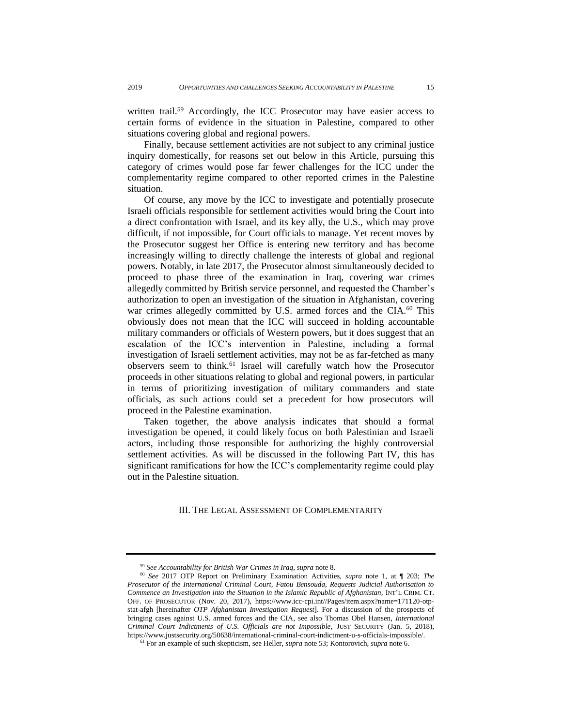written trail.<sup>59</sup> Accordingly, the ICC Prosecutor may have easier access to certain forms of evidence in the situation in Palestine, compared to other situations covering global and regional powers.

Finally, because settlement activities are not subject to any criminal justice inquiry domestically, for reasons set out below in this Article, pursuing this category of crimes would pose far fewer challenges for the ICC under the complementarity regime compared to other reported crimes in the Palestine situation.

Of course, any move by the ICC to investigate and potentially prosecute Israeli officials responsible for settlement activities would bring the Court into a direct confrontation with Israel, and its key ally, the U.S., which may prove difficult, if not impossible, for Court officials to manage. Yet recent moves by the Prosecutor suggest her Office is entering new territory and has become increasingly willing to directly challenge the interests of global and regional powers. Notably, in late 2017, the Prosecutor almost simultaneously decided to proceed to phase three of the examination in Iraq, covering war crimes allegedly committed by British service personnel, and requested the Chamber's authorization to open an investigation of the situation in Afghanistan, covering war crimes allegedly committed by U.S. armed forces and the CIA.<sup>60</sup> This obviously does not mean that the ICC will succeed in holding accountable military commanders or officials of Western powers, but it does suggest that an escalation of the ICC's intervention in Palestine, including a formal investigation of Israeli settlement activities, may not be as far-fetched as many observers seem to think.<sup>61</sup> Israel will carefully watch how the Prosecutor proceeds in other situations relating to global and regional powers, in particular in terms of prioritizing investigation of military commanders and state officials, as such actions could set a precedent for how prosecutors will proceed in the Palestine examination.

Taken together, the above analysis indicates that should a formal investigation be opened, it could likely focus on both Palestinian and Israeli actors, including those responsible for authorizing the highly controversial settlement activities. As will be discussed in the following Part IV, this has significant ramifications for how the ICC's complementarity regime could play out in the Palestine situation.

<span id="page-16-0"></span>III. THE LEGAL ASSESSMENT OF COMPLEMENTARITY

<sup>59</sup> *See Accountability for British War Crimes in Iraq, supra* note [8.](#page-4-1)

<sup>60</sup> *See* 2017 OTP Report on Preliminary Examination Activities, *supra* note [1,](#page-3-1) at ¶ 203; *The Prosecutor of the International Criminal Court, Fatou Bensouda, Requests Judicial Authorisation to Commence an Investigation into the Situation in the Islamic Republic of Afghanistan, INT'L CRIM. CT.* OFF. OF PROSECUTOR (Nov. 20, 2017), [https://www.icc-cpi.int//Pages/item.aspx?name=171120-otp](https://www.icc-cpi.int/Pages/item.aspx?name=171120-otp-stat-afgh)[stat-afgh](https://www.icc-cpi.int/Pages/item.aspx?name=171120-otp-stat-afgh) [hereinafter *OTP Afghanistan Investigation Request*]. For a discussion of the prospects of bringing cases against U.S. armed forces and the CIA*,* see also Thomas Obel Hansen, *International Criminal Court Indictments of U.S. Officials are not Impossible,* JUST SECURITY (Jan. 5, 2018), [https://www.justsecurity.org/50638/international-criminal-court-indictment-u-s-officials-impossible/.](https://www.justsecurity.org/50638/international-criminal-court-indictment-u-s-officials-impossible/)

<sup>61</sup> For an example of such skepticism, see Heller, *supra* note 53; Kontorovich, *supra* not[e 6.](#page-4-2)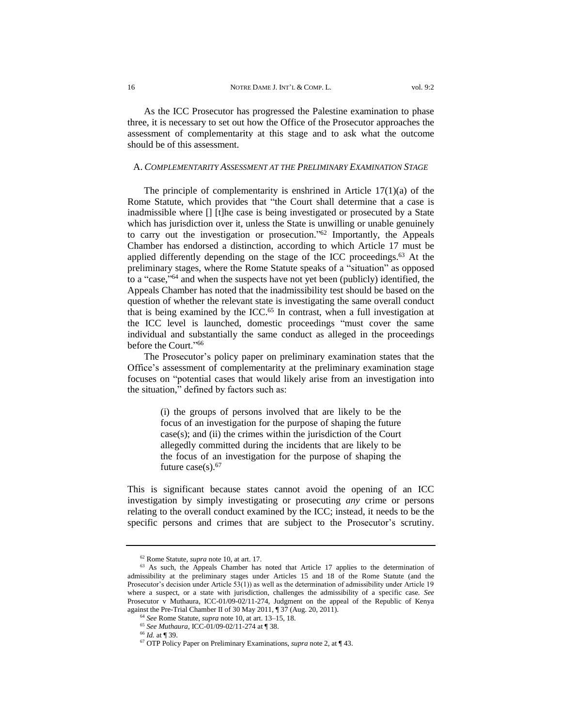As the ICC Prosecutor has progressed the Palestine examination to phase three, it is necessary to set out how the Office of the Prosecutor approaches the assessment of complementarity at this stage and to ask what the outcome should be of this assessment.

#### <span id="page-17-0"></span>A. *COMPLEMENTARITY ASSESSMENT AT THE PRELIMINARY EXAMINATION STAGE*

The principle of complementarity is enshrined in Article  $17(1)(a)$  of the Rome Statute, which provides that "the Court shall determine that a case is inadmissible where [] [t]he case is being investigated or prosecuted by a State which has jurisdiction over it, unless the State is unwilling or unable genuinely to carry out the investigation or prosecution." <sup>62</sup> Importantly, the Appeals Chamber has endorsed a distinction, according to which Article 17 must be applied differently depending on the stage of the ICC proceedings.<sup>63</sup> At the preliminary stages, where the Rome Statute speaks of a "situation" as opposed to a "case," <sup>64</sup> and when the suspects have not yet been (publicly) identified, the Appeals Chamber has noted that the inadmissibility test should be based on the question of whether the relevant state is investigating the same overall conduct that is being examined by the ICC.<sup>65</sup> In contrast, when a full investigation at the ICC level is launched, domestic proceedings "must cover the same individual and substantially the same conduct as alleged in the proceedings before the Court." 66

The Prosecutor's policy paper on preliminary examination states that the Office's assessment of complementarity at the preliminary examination stage focuses on "potential cases that would likely arise from an investigation into the situation," defined by factors such as:

> (i) the groups of persons involved that are likely to be the focus of an investigation for the purpose of shaping the future case(s); and (ii) the crimes within the jurisdiction of the Court allegedly committed during the incidents that are likely to be the focus of an investigation for the purpose of shaping the future case $(s)$ .<sup>67</sup>

This is significant because states cannot avoid the opening of an ICC investigation by simply investigating or prosecuting *any* crime or persons relating to the overall conduct examined by the ICC; instead, it needs to be the specific persons and crimes that are subject to the Prosecutor's scrutiny.

<sup>62</sup> Rome Statute, *supra* note 10, at art. 17.

<sup>&</sup>lt;sup>63</sup> As such, the Appeals Chamber has noted that Article 17 applies to the determination of admissibility at the preliminary stages under Articles 15 and 18 of the Rome Statute (and the Prosecutor's decision under Article 53(1)) as well as the determination of admissibility under Article 19 where a suspect, or a state with jurisdiction, challenges the admissibility of a specific case. *See*  Prosecutor v Muthaura, ICC-01/09-02/11-274, Judgment on the appeal of the Republic of Kenya against the Pre-Trial Chamber II of 30 May 2011, ¶ 37 (Aug. 20, 2011).

<sup>64</sup> *See* Rome Statute, *supra* note 10, at art. 13–15, 18.

<sup>65</sup> *See Muthaura*, ICC-01/09-02/11-274 at ¶ 38.

<sup>66</sup> *Id.* at ¶ 39.

<sup>67</sup> OTP Policy Paper on Preliminary Examinations, *supra* not[e 2,](#page-3-0) at ¶ 43.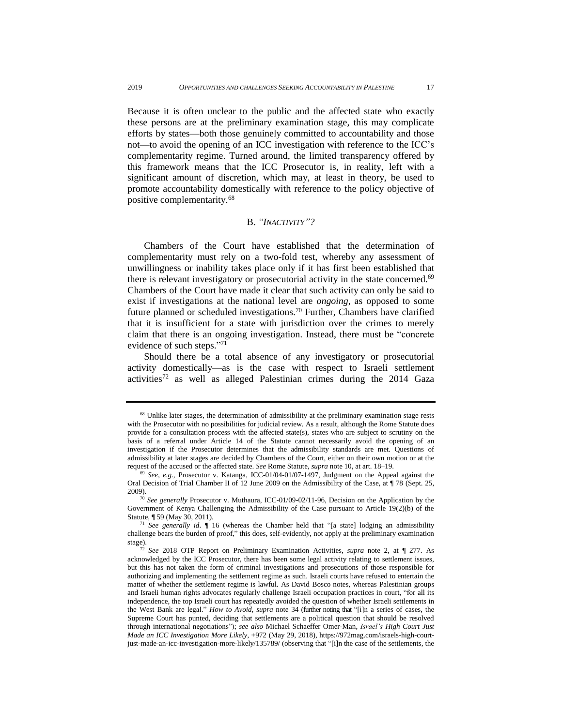Because it is often unclear to the public and the affected state who exactly these persons are at the preliminary examination stage, this may complicate efforts by states—both those genuinely committed to accountability and those not—to avoid the opening of an ICC investigation with reference to the ICC's complementarity regime. Turned around, the limited transparency offered by this framework means that the ICC Prosecutor is, in reality, left with a significant amount of discretion, which may, at least in theory, be used to promote accountability domestically with reference to the policy objective of positive complementarity.<sup>68</sup>

## B. *"INACTIVITY"?*

<span id="page-18-0"></span>Chambers of the Court have established that the determination of complementarity must rely on a two-fold test, whereby any assessment of unwillingness or inability takes place only if it has first been established that there is relevant investigatory or prosecutorial activity in the state concerned.<sup>69</sup> Chambers of the Court have made it clear that such activity can only be said to exist if investigations at the national level are *ongoing*, as opposed to some future planned or scheduled investigations.<sup>70</sup> Further, Chambers have clarified that it is insufficient for a state with jurisdiction over the crimes to merely claim that there is an ongoing investigation. Instead, there must be "concrete evidence of such steps."71

Should there be a total absence of any investigatory or prosecutorial activity domestically—as is the case with respect to Israeli settlement  $activities<sup>72</sup>$  as well as alleged Palestinian crimes during the 2014 Gaza

<sup>&</sup>lt;sup>68</sup> Unlike later stages, the determination of admissibility at the preliminary examination stage rests with the Prosecutor with no possibilities for judicial review. As a result, although the Rome Statute does provide for a consultation process with the affected state(s), states who are subject to scrutiny on the basis of a referral under Article 14 of the Statute cannot necessarily avoid the opening of an investigation if the Prosecutor determines that the admissibility standards are met. Questions of admissibility at later stages are decided by Chambers of the Court, either on their own motion or at the request of the accused or the affected state. *See* Rome Statute, *supra* note 10, at art. 18–19.

<sup>69</sup> *See, e.g.*, Prosecutor v. Katanga, ICC-01/04-01/07-1497, Judgment on the Appeal against the Oral Decision of Trial Chamber II of 12 June 2009 on the Admissibility of the Case, at  $\P$  78 (Sept. 25, 2009).

<sup>70</sup> *See generally* Prosecutor v. Muthaura, ICC-01/09-02/11-96, Decision on the Application by the Government of Kenya Challenging the Admissibility of the Case pursuant to Article 19(2)(b) of the Statute, ¶ 59 (May 30, 2011).

<sup>71</sup> *See generally id*. ¶ 16 (whereas the Chamber held that "[a state] lodging an admissibility challenge bears the burden of proof," this does, self-evidently, not apply at the preliminary examination stage).

<sup>72</sup> *See* 2018 OTP Report on Preliminary Examination Activities, *supra* note 2, at ¶ 277. As acknowledged by the ICC Prosecutor, there has been some legal activity relating to settlement issues, but this has not taken the form of criminal investigations and prosecutions of those responsible for authorizing and implementing the settlement regime as such. Israeli courts have refused to entertain the matter of whether the settlement regime is lawful. As David Bosco notes, whereas Palestinian groups and Israeli human rights advocates regularly challenge Israeli occupation practices in court, "for all its independence, the top Israeli court has repeatedly avoided the question of whether Israeli settlements in the West Bank are legal." *How to Avoid*, *supra* note 34 (further noting that "[i]n a series of cases, the Supreme Court has punted, deciding that settlements are a political question that should be resolved through international negotiations"); *see also* Michael Schaeffer Omer-Man, *Israel's High Court Just Made an ICC Investigation More Likely*, +972 (May 29, 2018), https://972mag.com/israels-high-courtjust-made-an-icc-investigation-more-likely/135789/ (observing that "[i]n the case of the settlements, the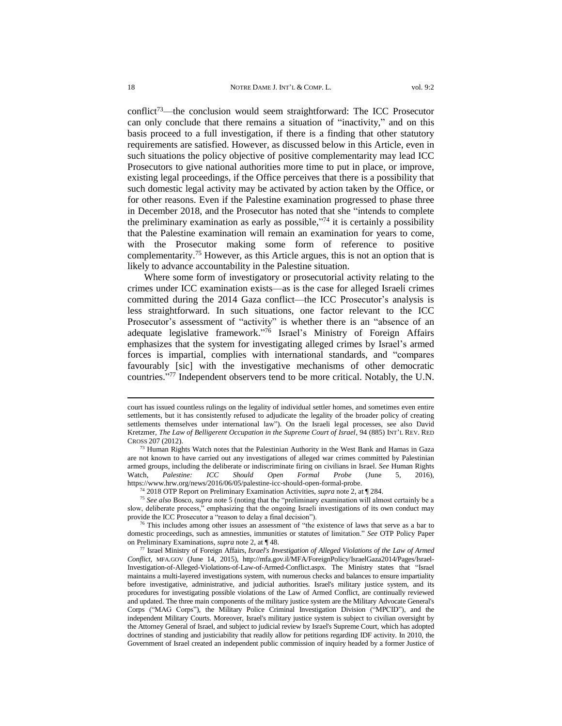conflict<sup>73</sup>—the conclusion would seem straightforward: The ICC Prosecutor can only conclude that there remains a situation of "inactivity," and on this basis proceed to a full investigation, if there is a finding that other statutory requirements are satisfied. However, as discussed below in this Article, even in such situations the policy objective of positive complementarity may lead ICC Prosecutors to give national authorities more time to put in place, or improve, existing legal proceedings, if the Office perceives that there is a possibility that such domestic legal activity may be activated by action taken by the Office, or for other reasons. Even if the Palestine examination progressed to phase three in December 2018, and the Prosecutor has noted that she "intends to complete the preliminary examination as early as possible," <sup>74</sup> it is certainly a possibility that the Palestine examination will remain an examination for years to come, with the Prosecutor making some form of reference to positive complementarity. <sup>75</sup> However, as this Article argues, this is not an option that is

Where some form of investigatory or prosecutorial activity relating to the crimes under ICC examination exists—as is the case for alleged Israeli crimes committed during the 2014 Gaza conflict—the ICC Prosecutor's analysis is less straightforward. In such situations, one factor relevant to the ICC Prosecutor's assessment of "activity" is whether there is an "absence of an adequate legislative framework." <sup>76</sup> Israel's Ministry of Foreign Affairs emphasizes that the system for investigating alleged crimes by Israel's armed forces is impartial, complies with international standards, and "compares favourably [sic] with the investigative mechanisms of other democratic countries." <sup>77</sup> Independent observers tend to be more critical. Notably, the U.N.

likely to advance accountability in the Palestine situation.

<sup>74</sup> 2018 OTP Report on Preliminary Examination Activities, *supra* note 2, at ¶ 284.

court has issued countless rulings on the legality of individual settler homes, and sometimes even entire settlements, but it has consistently refused to adjudicate the legality of the broader policy of creating settlements themselves under international law"). On the Israeli legal processes, see also David Kretzmer, *The Law of Belligerent Occupation in the Supreme Court of Israel*, 94 (885) INT'L REV. RED CROSS 207 (2012).

<sup>&</sup>lt;sup>73</sup> Human Rights Watch notes that the Palestinian Authority in the West Bank and Hamas in Gaza are not known to have carried out any investigations of alleged war crimes committed by Palestinian armed groups, including the deliberate or indiscriminate firing on civilians in Israel. *See* Human Rights Watch, *Palestine: ICC Should Open Formal Probe* (June 5, 2016), [https://www.hrw.org/news/2016/06/05/palestine-icc-should-open-formal-probe.](https://www.hrw.org/news/2016/06/05/palestine-icc-should-open-formal-probe)

<sup>75</sup> *See also* Bosco, *supra* note [5](#page-4-0) (noting that the "preliminary examination will almost certainly be a slow, deliberate process," emphasizing that the ongoing Israeli investigations of its own conduct may provide the ICC Prosecutor a "reason to delay a final decision").

 $76$  This includes among other issues an assessment of "the existence of laws that serve as a bar to domestic proceedings, such as amnesties, immunities or statutes of limitation." *See* OTP Policy Paper on Preliminary Examinations, *supra* note [2,](#page-3-0) at ¶ 48.

<sup>77</sup> Israel Ministry of Foreign Affairs, *Israel's Investigation of Alleged Violations of the Law of Armed Conflict*, MFA.GOV (June 14, 2015), [http://mfa.gov.il/MFA/ForeignPolicy/IsraelGaza2014/Pages/Israel-](http://mfa.gov.il/MFA/ForeignPolicy/IsraelGaza2014/Pages/Israel-Investigation-of-Alleged-Violations-of-Law-of-Armed-Conflict.aspx)[Investigation-of-Alleged-Violations-of-Law-of-Armed-Conflict.aspx.](http://mfa.gov.il/MFA/ForeignPolicy/IsraelGaza2014/Pages/Israel-Investigation-of-Alleged-Violations-of-Law-of-Armed-Conflict.aspx) The Ministry states that "Israel maintains a multi-layered investigations system, with numerous checks and balances to ensure impartiality before investigative, administrative, and judicial authorities. Israel's military justice system, and its procedures for investigating possible violations of the Law of Armed Conflict, are continually reviewed and updated. The three main components of the military justice system are the Military Advocate General's Corps ("MAG Corps"), the Military Police Criminal Investigation Division ("MPCID"), and the independent Military Courts. Moreover, Israel's military justice system is subject to civilian oversight by the Attorney General of Israel, and subject to judicial review by Israel's Supreme Court, which has adopted doctrines of standing and justiciability that readily allow for petitions regarding IDF activity. In 2010, the Government of Israel created an independent public commission of inquiry headed by a former Justice of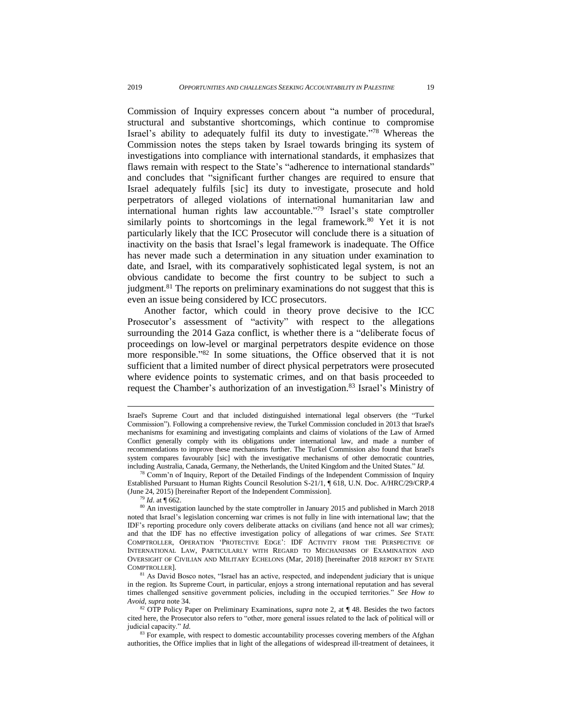Commission of Inquiry [expresses](http://www.ohchr.org/EN/HRBodies/HRC/CoIGazaConflict/Pages/ReportCoIGaza.aspx#report) concern about "a number of procedural, structural and substantive shortcomings, which continue to compromise Israel's ability to adequately fulfil its duty to investigate."<sup>78</sup> Whereas the Commission notes the steps taken by Israel towards bringing its system of investigations into compliance with international standards, it emphasizes that flaws remain with respect to the State's "adherence to international standards" and concludes that "significant further changes are required to ensure that Israel adequately fulfils [sic] its duty to investigate, prosecute and hold perpetrators of alleged violations of international humanitarian law and international human rights law accountable." <sup>79</sup> Israel's state comptroller similarly points to shortcomings in the legal framework.<sup>80</sup> Yet it is not particularly likely that the ICC Prosecutor will conclude there is a situation of inactivity on the basis that Israel's legal framework is inadequate. The Office has never made such a determination in any situation under examination to date, and Israel, with its comparatively sophisticated legal system, is not an obvious candidate to become the first country to be subject to such a judgment.<sup>81</sup> The reports on preliminary examinations do not suggest that this is even an issue being considered by ICC prosecutors.

Another factor, which could in theory prove decisive to the ICC Prosecutor's assessment of "activity" with respect to the allegations surrounding the 2014 Gaza conflict, is whether there is a "deliberate focus of proceedings on low-level or marginal perpetrators despite evidence on those more responsible." <sup>82</sup> In some situations, the Office observed that it is not sufficient that a limited number of direct physical perpetrators were prosecuted where evidence points to systematic crimes, and on that basis proceeded to request the Chamber's authorization of an investigation.<sup>83</sup> Israel's Ministry of

 $78$  Comm'n of Inquiry, Report of the Detailed Findings of the Independent Commission of Inquiry Established Pursuant to Human Rights Council Resolution S-21/1, ¶ 618, U.N. Doc. A/HRC/29/CRP.4 (June 24, 2015) [hereinafter Report of the Independent Commission].

<sup>79</sup> *Id*. at ¶ 662.

Israel's Supreme Court and that included distinguished international legal observers (the "Turkel Commission"). Following a comprehensive review, the Turkel Commission concluded in 2013 that Israel's mechanisms for examining and investigating complaints and claims of violations of the Law of Armed Conflict generally comply with its obligations under international law, and made a number of recommendations to improve these mechanisms further. The Turkel Commission also found that Israel's system compares favourably [sic] with the investigative mechanisms of other democratic countries, including Australia, Canada, Germany, the Netherlands, the United Kingdom and the United States." *Id.*

<sup>&</sup>lt;sup>80</sup> An investigation launched by the state comptroller in January 2015 and published in March 2018 noted that Israel's legislation concerning war crimes is not fully in line with international law; that the IDF's reporting procedure only covers deliberate attacks on civilians (and hence not all war crimes); and that the IDF has no effective investigation policy of allegations of war crimes. *See* STATE COMPTROLLER, OPERATION 'PROTECTIVE EDGE': IDF ACTIVITY FROM THE PERSPECTIVE OF INTERNATIONAL LAW, PARTICULARLY WITH REGARD TO MECHANISMS OF EXAMINATION AND OVERSIGHT OF CIVILIAN AND MILITARY ECHELONS (Mar, 2018) [hereinafter 2018 REPORT BY S[TATE](http://www.mevaker.gov.il/En/publication/Articles/Pages/2015.07.21-ProtectiveEdge.aspx?AspxAutoDetectCookieSupport=1) C[OMPTROLLER](http://www.mevaker.gov.il/En/publication/Articles/Pages/2015.07.21-ProtectiveEdge.aspx?AspxAutoDetectCookieSupport=1)].

<sup>&</sup>lt;sup>81</sup> As David Bosco notes, "Israel has an active, respected, and independent judiciary that is unique in the region. Its Supreme Court, in particular, enjoys a strong international reputation and has several times challenged sensitive government policies, including in the occupied territories." *See How to Avoid*, *supra* note 34.

<sup>82</sup> OTP Policy Paper on Preliminary Examinations, *supra* note [2,](#page-3-0) at ¶ 48. Besides the two factors cited here, the Prosecutor also refers to "other, more general issues related to the lack of political will or judicial capacity." *Id.*

<sup>&</sup>lt;sup>83</sup> For example, with respect to domestic accountability processes covering members of the Afghan authorities, the Office implies that in light of the allegations of widespread ill-treatment of detainees, it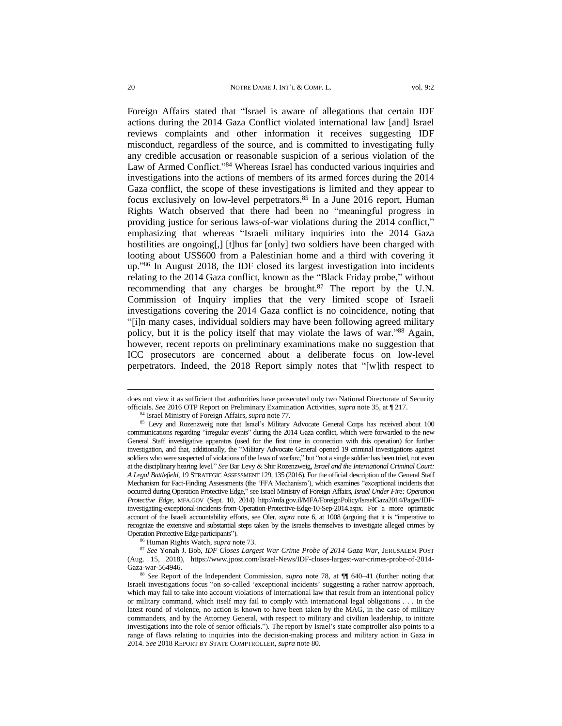Foreign Affairs stated that "Israel is aware of allegations that certain IDF actions during the 2014 Gaza Conflict violated international law [and] Israel reviews complaints and other information it receives suggesting IDF misconduct, regardless of the source, and is committed to investigating fully any credible accusation or reasonable suspicion of a serious violation of the Law of Armed Conflict."<sup>84</sup> Whereas Israel has conducted various inquiries and investigations into the actions of members of its armed forces during the 2014 Gaza conflict, the scope of these investigations is limited and they appear to focus exclusively on low-level perpetrators.<sup>85</sup> In a June 2016 report, Human Rights Watch observed that there had been no "meaningful progress in providing justice for serious laws-of-war violations during the 2014 conflict," emphasizing that whereas "Israeli military [inquiries](http://www.newsweek.com/idf-investigate-deadly-gaza-attack-un-school-315313) into the 2014 Gaza hostilities are [ongoing\[](http://www.mag.idf.il/163-7183-en/Patzar.aspx?pos=1),] [t]hus far [only] two soldiers have been charged with looting about US\$600 from a Palestinian home and a third with covering it up." <sup>86</sup> In August 2018, the IDF closed its largest investigation into incidents relating to the 2014 Gaza conflict, known as the "Black Friday probe," without recommending that any charges be brought. $87$  The report by the U.N. Commission of Inquiry implies that the very limited scope of Israeli investigations covering the 2014 Gaza conflict is no coincidence, noting that "[i]n many cases, individual soldiers may have been following agreed military policy, but it is the policy itself that may violate the laws of war."<sup>88</sup> Again, however, recent reports on preliminary examinations make no suggestion that ICC prosecutors are concerned about a deliberate focus on low-level perpetrators. Indeed, the 2018 Report simply notes that "[w]ith respect to

does not view it as sufficient that authorities have prosecuted only two National Directorate of Security officials. *See* 2016 OTP Report on Preliminary Examination Activities, *supra* note 35, at ¶ 217.

<sup>84</sup> Israel Ministry of Foreign Affairs, *supra* note 77*.*

<sup>&</sup>lt;sup>85</sup> Levy and Rozenzweig note that Israel's Military Advocate General Corps has received about 100 communications regarding "irregular events" during the 2014 Gaza conflict, which were forwarded to the new General Staff investigative apparatus (used for the first time in connection with this operation) for further investigation, and that, additionally, the "Military Advocate General opened 19 criminal investigations against soldiers who were suspected of violations of the laws of warfare," but "not a single soldier has been tried, not even at the disciplinary hearing level." *See* Bar Levy & Shir Rozenzweig, *Israel and the International Criminal Court: A Legal Battlefield*, 19 STRATEGIC ASSESSMENT 129, 135 (2016). For the official description of the General Staff Mechanism for Fact-Finding Assessments (the 'FFA Mechanism'), which examines "exceptional incidents that occurred during Operation [Protective](http://mfa.gov.il/MFA/ForeignPolicy/Pages/Israel-under-fire-Operation-Protective-Edge.aspx) Edge," see Israel Ministry of Foreign Affairs, *Israel Under Fire: Operation Protective Edge*, MFA.GOV (Sept. 10, 2014) [http://mfa.gov.il/MFA/ForeignPolicy/IsraelGaza2014/Pages/IDF](http://mfa.gov.il/MFA/ForeignPolicy/IsraelGaza2014/Pages/IDF-investigating-exceptional-incidents-from-Operation-Protective-Edge-10-Sep-2014.aspx)[investigating-exceptional-incidents-from-Operation-Protective-Edge-10-Sep-2014.aspx](http://mfa.gov.il/MFA/ForeignPolicy/IsraelGaza2014/Pages/IDF-investigating-exceptional-incidents-from-Operation-Protective-Edge-10-Sep-2014.aspx)*.* For a more optimistic account of the Israeli accountability efforts, see Oler, *supra* note [6,](#page-4-2) at 1008 (arguing that it is "imperative to recognize the extensive and substantial steps taken by the Israelis themselves to investigate alleged crimes by Operation Protective Edge participants").

<sup>86</sup> Human Rights Watch, *supra* note [73](#page-4-3).

<sup>87</sup> *See* Yonah J. Bob, *IDF Closes Largest War Crime Probe of 2014 Gaza War*, JERUSALEM POST (Aug. 15, 2018), [https://www.jpost.com/Israel-News/IDF-closes-largest-war-crimes-probe-of-2014-](https://www.jpost.com/Israel-News/IDF-closes-largest-war-crimes-probe-of-2014-Gaza-war-564946) [Gaza-war-564946.](https://www.jpost.com/Israel-News/IDF-closes-largest-war-crimes-probe-of-2014-Gaza-war-564946)

<sup>88</sup> *See* Report of the Independent Commission, *supra* note 78, at ¶¶ 640–41 (further noting that Israeli investigations focus "on so-called 'exceptional incidents' suggesting a rather narrow approach, which may fail to take into account violations of international law that result from an intentional policy or military command, which itself may fail to comply with international legal obligations . . . In the latest round of violence, no action is known to have been taken by the MAG, in the case of military commanders, and by the Attorney General, with respect to military and civilian leadership, to initiate investigations into the role of senior officials."). The report by Israel's state comptroller also points to a range of flaws relating to inquiries into the decision-making process and military action in Gaza in 2014. *See* 2018 REPORT BY STATE C[OMPTROLLER](http://www.mevaker.gov.il/En/publication/Articles/Pages/2015.07.21-ProtectiveEdge.aspx?AspxAutoDetectCookieSupport=1), *supra* note 80.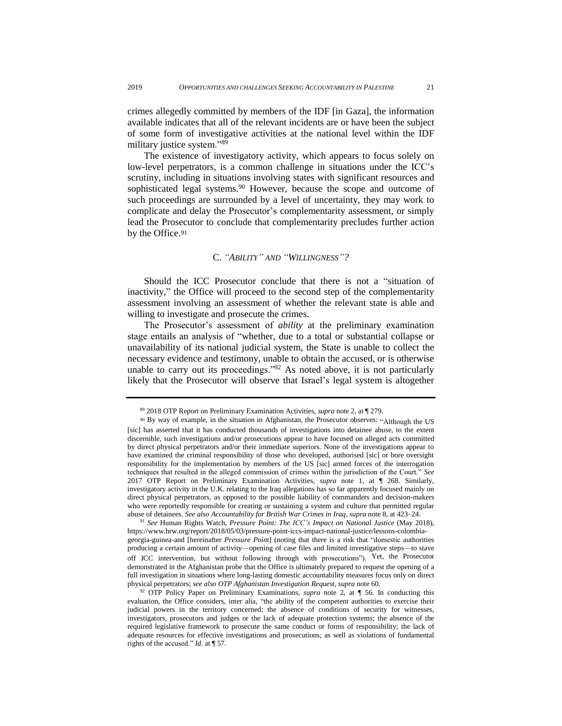crimes allegedly committed by members of the IDF [in Gaza], the information available indicates that all of the relevant incidents are or have been the subject of some form of investigative activities at the national level within the IDF military justice system."<sup>89</sup>

The existence of investigatory activity, which appears to focus solely on low-level perpetrators, is a common challenge in situations under the ICC's scrutiny, including in situations involving states with significant resources and sophisticated legal systems.<sup>90</sup> However, because the scope and outcome of such proceedings are surrounded by a level of uncertainty, they may work to complicate and delay the Prosecutor's complementarity assessment, or simply lead the Prosecutor to conclude that complementarity precludes further action by the Office.<sup>91</sup>

## C. *"ABILITY" AND "WILLINGNESS"?*

<span id="page-22-0"></span>Should the ICC Prosecutor conclude that there is not a "situation of inactivity," the Office will proceed to the second step of the complementarity assessment involving an assessment of whether the relevant state is able and willing to investigate and prosecute the crimes.

The Prosecutor's assessment of *ability* at the preliminary examination stage entails an analysis of "whether, due to a total or substantial collapse or unavailability of its national judicial system, the State is unable to collect the necessary evidence and testimony, unable to obtain the accused, or is otherwise unable to carry out its proceedings." $92$  As noted above, it is not particularly likely that the Prosecutor will observe that Israel's legal system is altogether

<sup>91</sup> *See* Human Rights Watch, *Pressure Point: The ICC's Impact on National Justice* (May 2018), [https://www.hrw.org/report/2018/05/03/pressure-point-iccs-impact-national-justice/lessons-colombia](https://www.hrw.org/report/2018/05/03/pressure-point-iccs-impact-national-justice/lessons-colombia-georgia-guinea-and)[georgia-guinea-and](https://www.hrw.org/report/2018/05/03/pressure-point-iccs-impact-national-justice/lessons-colombia-georgia-guinea-and) [hereinafter *Pressure Point*] (noting that there is a risk that "domestic authorities producing a certain amount of activity—opening of case files and limited investigative steps—to stave off ICC intervention, but without following through with prosecutions"). Yet, the Prosecutor demonstrated in the Afghanistan probe that the Office is ultimately prepared to request the opening of a full investigation in situations where long-lasting domestic accountability measures focus only on direct physical perpetrators; *see also OTP Afghanistan Investigation Request, supra* note 60.

<sup>89</sup> 2018 OTP Report on Preliminary Examination Activities, *supra* note 2, at ¶ 279.

<sup>90</sup> By way of example, in the situation in Afghanistan, the Prosecutor observes: "Although the US [sic] has asserted that it has conducted thousands of investigations into detainee abuse, to the extent discernible, such investigations and/or prosecutions appear to have focused on alleged acts committed by direct physical perpetrators and/or their immediate superiors. None of the investigations appear to have examined the criminal responsibility of those who developed, authorised [sic] or bore oversight responsibility for the implementation by members of the US [sic] armed forces of the interrogation techniques that resulted in the alleged commission of crimes within the jurisdiction of the Court." *See* 2017 OTP Report on Preliminary Examination Activities, *supra* note 1, at ¶ 268. Similarly, investigatory activity in the U.K. relating to the Iraq allegations has so far apparently focused mainly on direct physical perpetrators, as opposed to the possible liability of commanders and decision-makers who were reportedly responsible for creating or sustaining a system and culture that permitted regular abuse of detainees. *See also Accountability for British War Crimes in Iraq*, *supra* note 8, at 423–24.

<sup>92</sup> OTP Policy Paper on Preliminary Examinations, *supra* note [2,](#page-3-0) at ¶ 56. In conducting this evaluation, the Office considers, inter alia, "the ability of the competent authorities to exercise their judicial powers in the territory concerned; the absence of conditions of security for witnesses, investigators, prosecutors and judges or the lack of adequate protection systems; the absence of the required legislative framework to prosecute the same conduct or forms of responsibility; the lack of adequate resources for effective investigations and prosecutions; as well as violations of fundamental rights of the accused." *Id.* at ¶ 57.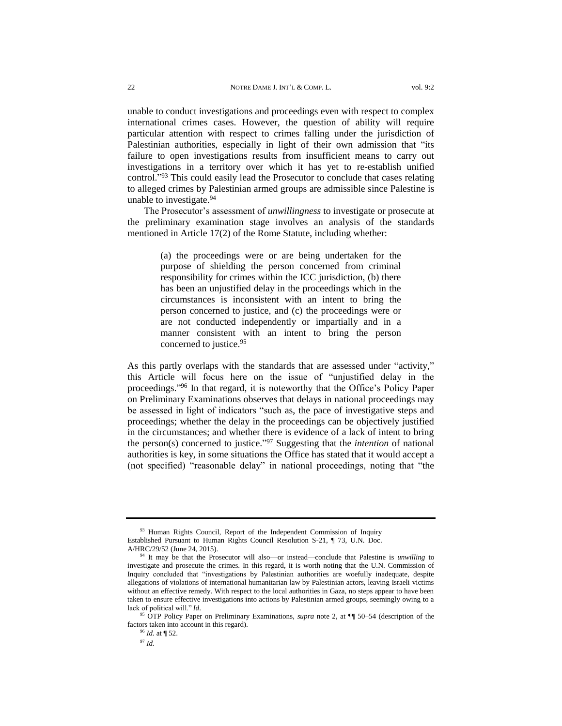unable to conduct investigations and proceedings even with respect to complex international crimes cases. However, the question of ability will require particular attention with respect to crimes falling under the jurisdiction of Palestinian authorities, especially in light of their own admission that "its failure to open investigations results from insufficient means to carry out investigations in a territory over which it has yet to re-establish unified control." <sup>93</sup> This could easily lead the Prosecutor to conclude that cases relating to alleged crimes by Palestinian armed groups are admissible since Palestine is unable to investigate.<sup>94</sup>

The Prosecutor's assessment of *unwillingness* to investigate or prosecute at the preliminary examination stage involves an analysis of the standards mentioned in Article 17(2) of the Rome Statute, including whether:

> (a) the proceedings were or are being undertaken for the purpose of shielding the person concerned from criminal responsibility for crimes within the ICC jurisdiction, (b) there has been an unjustified delay in the proceedings which in the circumstances is inconsistent with an intent to bring the person concerned to justice, and (c) the proceedings were or are not conducted independently or impartially and in a manner consistent with an intent to bring the person concerned to justice.<sup>95</sup>

As this partly overlaps with the standards that are assessed under "activity," this Article will focus here on the issue of "unjustified delay in the proceedings." <sup>96</sup> In that regard, it is noteworthy that the Office's Policy Paper on Preliminary Examinations observes that delays in national proceedings may be assessed in light of indicators "such as, the pace of investigative steps and proceedings; whether the delay in the proceedings can be objectively justified in the circumstances; and whether there is evidence of a lack of intent to bring the person(s) concerned to justice." <sup>97</sup> Suggesting that the *intention* of national authorities is key, in some situations the Office has stated that it would accept a (not specified) "reasonable delay" in national proceedings, noting that "the

<sup>&</sup>lt;sup>93</sup> Human Rights Council, Report of the Independent Commission of Inquiry Established Pursuant to Human Rights Council Resolution S-21, ¶ 73, U.N. Doc. A/HRC/29/52 (June 24, 2015).

It may be that the Prosecutor will also—or instead—conclude that Palestine is *unwilling* to investigate and prosecute the crimes. In this regard, it is worth noting that the U.N. Commission of Inquiry concluded that "investigations by Palestinian authorities are woefully inadequate, despite allegations of violations of international humanitarian law by Palestinian actors, leaving Israeli victims without an effective remedy. With respect to the local authorities in Gaza, no steps appear to have been taken to ensure effective investigations into actions by Palestinian armed groups, seemingly owing to a lack of political will." *Id*.

<sup>95</sup> OTP Policy Paper on Preliminary Examinations, *supra* note [2,](#page-3-0) at ¶¶ 50–54 (description of the factors taken into account in this regard).

<sup>96</sup> *Id.* at ¶ 52.

<sup>97</sup> *Id.*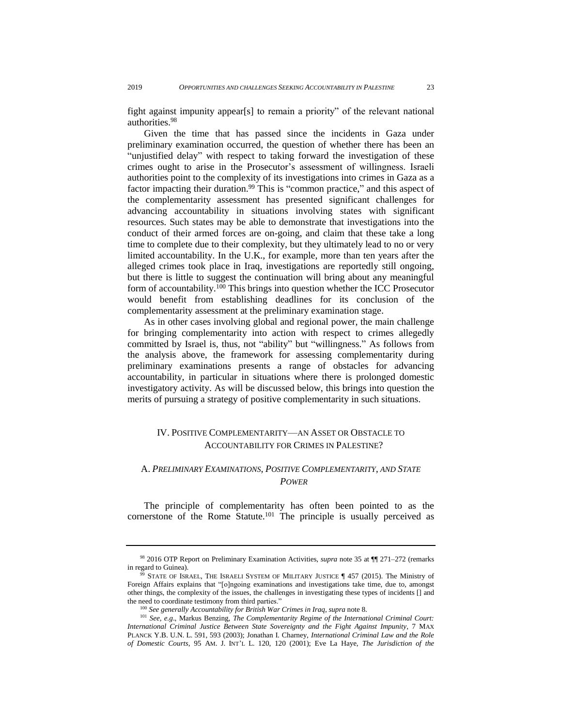fight against impunity appear[s] to remain a priority" of the relevant national authorities.<sup>98</sup>

Given the time that has passed since the incidents in Gaza under preliminary examination occurred, the question of whether there has been an "unjustified delay" with respect to taking forward the investigation of these crimes ought to arise in the Prosecutor's assessment of willingness. Israeli authorities point to the complexity of its investigations into crimes in Gaza as a factor impacting their duration.<sup>99</sup> This is "common practice," and this aspect of the complementarity assessment has presented significant challenges for advancing accountability in situations involving states with significant resources. Such states may be able to demonstrate that investigations into the conduct of their armed forces are on-going, and claim that these take a long time to complete due to their complexity, but they ultimately lead to no or very limited accountability. In the U.K., for example, more than ten years after the alleged crimes took place in Iraq, investigations are reportedly still ongoing, but there is little to suggest the continuation will bring about any meaningful form of accountability.<sup>100</sup> This brings into question whether the ICC Prosecutor would benefit from establishing deadlines for its conclusion of the complementarity assessment at the preliminary examination stage.

As in other cases involving global and regional power, the main challenge for bringing complementarity into action with respect to crimes allegedly committed by Israel is, thus, not "ability" but "willingness." As follows from the analysis above, the framework for assessing complementarity during preliminary examinations presents a range of obstacles for advancing accountability, in particular in situations where there is prolonged domestic investigatory activity. As will be discussed below, this brings into question the merits of pursuing a strategy of positive complementarity in such situations.

## <span id="page-24-0"></span>IV. POSITIVE COMPLEMENTARITY—AN ASSET OR OBSTACLE TO ACCOUNTABILITY FOR CRIMES IN PALESTINE?

## <span id="page-24-1"></span>A. *PRELIMINARY EXAMINATIONS, POSITIVE COMPLEMENTARITY, AND STATE POWER*

The principle of complementarity has often been pointed to as the cornerstone of the Rome Statute. <sup>101</sup> The principle is usually perceived as

<sup>98</sup> 2016 OTP Report on Preliminary Examination Activities, *supra* note 35 at ¶¶ 271–272 (remarks in regard to Guinea).

STATE OF ISRAEL, THE ISRAELI SYSTEM OF MILITARY JUSTICE  $\P$  457 (2015). The Ministry of Foreign Affairs explains that "[o]ngoing examinations and investigations take time, due to, amongst other things, the complexity of the issues, the challenges in investigating these types of incidents [] and the need to coordinate testimony from third parties."

<sup>100</sup> *See generally Accountability for British War Crimes in Iraq*, *supra* note [8.](#page-4-1)

<sup>101</sup> *See, e.g*., Markus Benzing, *The Complementarity Regime of the International Criminal Court: International Criminal Justice Between State Sovereignty and the Fight Against Impunity*, 7 MAX PLANCK Y.B. U.N. L. 591, 593 (2003); Jonathan I. Charney, *International Criminal Law and the Role of Domestic Courts*, 95 AM. J. INT'L L. 120, 120 (2001); Eve La Haye, *The Jurisdiction of the*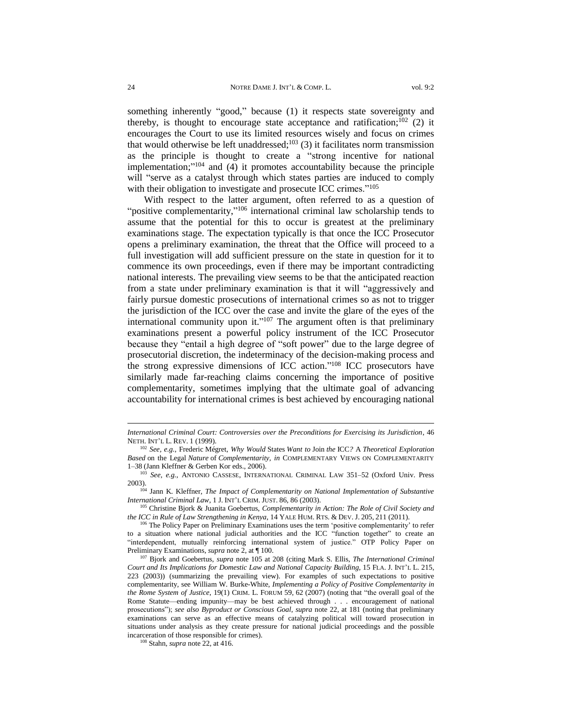something inherently "good," because (1) it respects state sovereignty and thereby, is thought to encourage state acceptance and ratification; $102$  (2) it encourages the Court to use its limited resources wisely and focus on crimes that would otherwise be left unaddressed; $103$  (3) it facilitates norm transmission as the principle is thought to create a "strong incentive for national implementation;" <sup>104</sup> and (4) it promotes accountability because the principle will "serve as a catalyst through which states parties are induced to comply with their obligation to investigate and prosecute ICC crimes."<sup>105</sup>

With respect to the latter argument, often referred to as a question of "positive complementarity,"<sup>106</sup> international criminal law scholarship tends to assume that the potential for this to occur is greatest at the preliminary examinations stage. The expectation typically is that once the ICC Prosecutor opens a preliminary examination, the threat that the Office will proceed to a full investigation will add sufficient pressure on the state in question for it to commence its own proceedings, even if there may be important contradicting national interests. The prevailing view seems to be that the anticipated reaction from a state under preliminary examination is that it will "aggressively and fairly pursue domestic prosecutions of international crimes so as not to trigger the jurisdiction of the ICC over the case and invite the glare of the eyes of the international community upon it." $107$  The argument often is that preliminary examinations present a powerful policy instrument of the ICC Prosecutor because they "entail a high degree of "soft power" due to the large degree of prosecutorial discretion, the indeterminacy of the decision-making process and the strong expressive dimensions of ICC action." <sup>108</sup> ICC prosecutors have similarly made far-reaching claims concerning the importance of positive complementarity, sometimes implying that the ultimate goal of advancing accountability for international crimes is best achieved by encouraging national

*International Criminal Court: Controversies over the Preconditions for Exercising its Jurisdiction*, 46 NETH. INT'L L. REV. 1 (1999).

<sup>102</sup> *See, e.g.*, Frederic Mégret, *Why Would* States *Want to* Join *the* ICC*?* A *Theoretical Exploration Based* on the Legal *Nature* of *Complementarity, in* COMPLEMENTARY VIEWS ON COMPLEMENTARITY 1–38 (Jann Kleffner & Gerben Kor eds., 2006).

<sup>103</sup> *See, e.g.*, ANTONIO CASSESE, INTERNATIONAL CRIMINAL LAW 351–52 (Oxford Univ. Press 2003).

<sup>104</sup> Jann K. Kleffner, *The Impact of Complementarity on National Implementation of Substantive International Criminal Law*, 1 J. INT'L CRIM. JUST. 86, 86 (2003).

<sup>105</sup> Christine Bjork & Juanita Goebertus, *Complementarity in Action: The Role of Civil Society and the ICC in Rule of Law Strengthening in Kenya*, 14 YALE HUM. RTS. & DEV. J. 205, 211 (2011).

<sup>&</sup>lt;sup>106</sup> The Policy Paper on Preliminary Examinations uses the term 'positive complementarity' to refer to a situation where national judicial authorities and the ICC "function together" to create an "interdependent, mutually reinforcing international system of justice." OTP Policy Paper on Preliminary Examinations, *supra* note [2,](#page-3-0) at ¶ 100.

<sup>107</sup> Bjork and Goebertus, *supra* note 105 at 208 (citing Mark S. Ellis, *The International Criminal Court and Its Implications for Domestic Law and National Capacity Building*, 15 FLA. J. INT'L L. 215, 223 (2003)) (summarizing the prevailing view). For examples of such expectations to positive complementarity*,* see William W. Burke-White, *Implementing a Policy of Positive Complementarity in the Rome System of Justice*, 19(1) CRIM. L. FORUM 59, 62 (2007) (noting that "the overall goal of the Rome Statute—ending impunity—may be best achieved through . . . encouragement of national prosecutions"); *see also Byproduct or Conscious Goal*, *supra* note 22, at 181 (noting that preliminary examinations can serve as an effective means of catalyzing political will toward prosecution in situations under analysis as they create pressure for national judicial proceedings and the possible incarceration of those responsible for crimes).

<sup>108</sup> Stahn, *supra* not[e 22,](#page-8-1) at 416.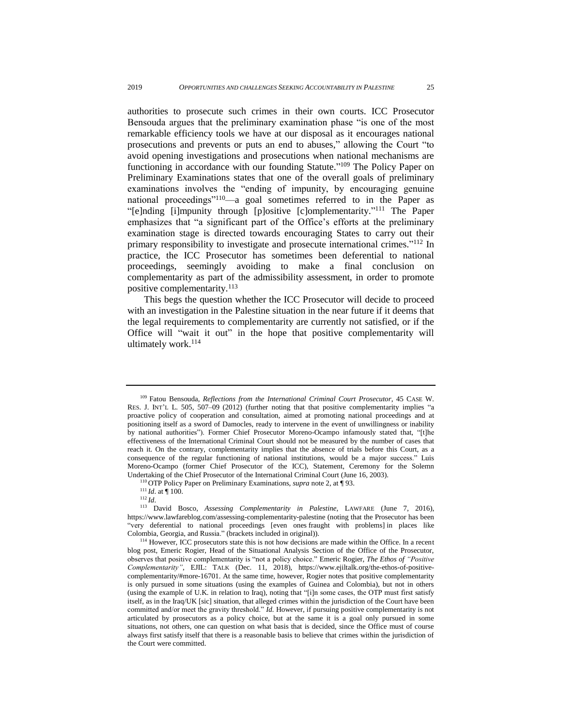authorities to prosecute such crimes in their own courts. ICC Prosecutor Bensouda argues that the preliminary examination phase "is one of the most remarkable efficiency tools we have at our disposal as it encourages national prosecutions and prevents or puts an end to abuses," allowing the Court "to avoid opening investigations and prosecutions when national mechanisms are functioning in accordance with our founding Statute."<sup>109</sup> The Policy Paper on Preliminary Examinations states that one of the overall goals of preliminary examinations involves the "ending of impunity, by encouraging genuine national proceedings"<sup>110</sup>—a goal sometimes referred to in the Paper as "[e]nding [i]mpunity through [p]ositive [c]omplementarity." <sup>111</sup> The Paper emphasizes that "a significant part of the Office's efforts at the preliminary examination stage is directed towards encouraging States to carry out their primary responsibility to investigate and prosecute international crimes."<sup>112</sup> In practice, the ICC Prosecutor has sometimes been deferential to national proceedings, seemingly avoiding to make a final conclusion on complementarity as part of the admissibility assessment, in order to promote positive complementarity.<sup>113</sup>

This begs the question whether the ICC Prosecutor will decide to proceed with an investigation in the Palestine situation in the near future if it deems that the legal requirements to complementarity are currently not satisfied, or if the Office will "wait it out" in the hope that positive complementarity will ultimately work.<sup>114</sup>

<sup>109</sup> Fatou Bensouda, *Reflections from the International Criminal Court Prosecutor*, 45 CASE W. RES. J. INT'L L. 505, 507–09 (2012) (further noting that that positive complementarity implies "a proactive policy of cooperation and consultation, aimed at promoting national proceedings and at positioning itself as a sword of Damocles, ready to intervene in the event of unwillingness or inability by national authorities"). Former Chief Prosecutor Moreno-Ocampo infamously stated that, "[t]he effectiveness of the International Criminal Court should not be measured by the number of cases that reach it. On the contrary, complementarity implies that the absence of trials before this Court, as a consequence of the regular functioning of national institutions, would be a major success." Luis Moreno-Ocampo (former Chief Prosecutor of the ICC), Statement, Ceremony for the Solemn Undertaking of the Chief Prosecutor of the International Criminal Court (June 16, 2003).

<sup>110</sup> OTP Policy Paper on Preliminary Examinations, *supra* note [2,](#page-3-0) at ¶ 93.

<sup>111</sup> *Id*. at ¶ 100.

<sup>112</sup> *Id*.

<sup>113</sup> David Bosco, *Assessing Complementarity in Palestine*, LAWFARE (June 7, 2016), <https://www.lawfareblog.com/assessing-complementarity-palestine> (noting that the Prosecutor has been "very deferential to national proceedings [even ones fraught with problems] in places like Colombia, Georgia, and Russia." (brackets included in original)).

<sup>&</sup>lt;sup>114</sup> However, ICC prosecutors state this is not how decisions are made within the Office. In a recent blog post, Emeric Rogier, Head of the Situational Analysis Section of the Office of the Prosecutor, observes that positive complementarity is "not a policy choice." Emeric Rogier, *The Ethos of ["Positive](https://www.ejiltalk.org/the-ethos-of-positive-complementarity/) [Complementarity"](https://www.ejiltalk.org/the-ethos-of-positive-complementarity/)*, EJIL: TALK (Dec. 11, 2018)*,* [https://www.ejiltalk.org/the-ethos-of-positive](https://www.ejiltalk.org/the-ethos-of-positive-complementarity/#more-16701)[complementarity/#more-16701.](https://www.ejiltalk.org/the-ethos-of-positive-complementarity/#more-16701) At the same time, however*,* Rogier notes that positive complementarity is only pursued in some situations (using the examples of Guinea and Colombia), but not in others (using the example of U.K. in relation to Iraq), noting that "[i]n some cases, the OTP must first satisfy itself, as in the Iraq/UK [sic] situation, that alleged crimes within the jurisdiction of the Court have been committed and/or meet the gravity threshold." *Id.* However, if pursuing positive complementarity is not articulated by prosecutors as a policy choice, but at the same it is a goal only pursued in some situations, not others, one can question on what basis that is decided, since the Office must of course always first satisfy itself that there is a reasonable basis to believe that crimes within the jurisdiction of the Court were committed.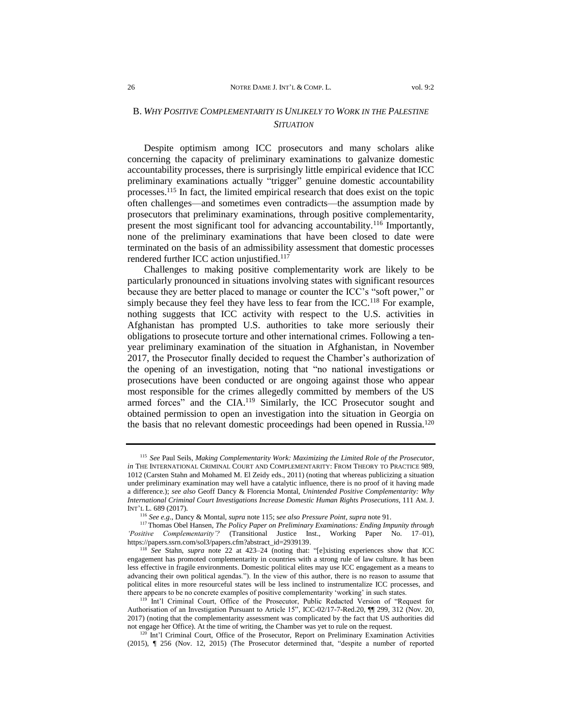## <span id="page-27-0"></span>B. *WHY POSITIVE COMPLEMENTARITY IS UNLIKELY TO WORK IN THE PALESTINE SITUATION*

Despite optimism among ICC prosecutors and many scholars alike concerning the capacity of preliminary examinations to galvanize domestic accountability processes, there is surprisingly little empirical evidence that ICC preliminary examinations actually "trigger" genuine domestic accountability processes.<sup>115</sup> In fact, the limited empirical research that does exist on the topic often challenges—and sometimes even contradicts—the assumption made by prosecutors that preliminary examinations, through positive complementarity, present the most significant tool for advancing accountability.<sup>116</sup> Importantly, none of the preliminary examinations that have been closed to date were terminated on the basis of an admissibility assessment that domestic processes rendered further ICC action uniustified.<sup>117</sup>

Challenges to making positive complementarity work are likely to be particularly pronounced in situations involving states with significant resources because they are better placed to manage or counter the ICC's "soft power," or simply because they feel they have less to fear from the ICC.<sup>118</sup> For example, nothing suggests that ICC activity with respect to the U.S. activities in Afghanistan has prompted U.S. authorities to take more seriously their obligations to prosecute torture and other international crimes. Following a tenyear preliminary examination of the situation in Afghanistan, in November 2017, the Prosecutor finally decided to request the Chamber's authorization of the opening of an investigation, noting that "no national investigations or prosecutions have been conducted or are ongoing against those who appear most responsible for the crimes allegedly committed by members of the US armed forces" and the CIA.<sup>119</sup> Similarly, the ICC Prosecutor sought and obtained permission to open an investigation into the situation in Georgia on the basis that no relevant domestic proceedings had been opened in Russia.<sup>120</sup>

<sup>115</sup>*See* Paul Seils, *Making Complementarity Work: Maximizing the Limited Role of the Prosecutor*, *in* THE INTERNATIONAL CRIMINAL COURT AND COMPLEMENTARITY: FROM THEORY TO PRACTICE 989, 1012 (Carsten Stahn and Mohamed M. El Zeidy eds., 2011) (noting that whereas publicizing a situation under preliminary examination may well have a catalytic influence, there is no proof of it having made a difference.); *see also* Geoff Dancy & Florencia Montal, *Unintended Positive Complementarity: Why International Criminal Court Investigations Increase Domestic Human Rights Prosecutions*, 111 AM. J. INT'L L. 689 (2017).

<sup>116</sup> *See e.g*., Dancy & Montal, *supra* note 115; s*ee also Pressure Point*, *supra* note 91.

<sup>117</sup> Thomas Obel Hansen*, The Policy Paper on Preliminary Examinations: Ending Impunity through 'Positive Complementarity'?* (Transitional Justice Inst., Working Paper No. 17–01), [https://papers.ssrn.com/sol3/papers.cfm?abstract\\_id=2939139.](https://papers.ssrn.com/sol3/papers.cfm?abstract_id=2939139)

<sup>118</sup> *See* Stahn, *supra* note [22](#page-8-1) at 423–24 (noting that: "[e]xisting experiences show that ICC engagement has promoted complementarity in countries with a strong rule of law culture. It has been less effective in fragile environments. Domestic political elites may use ICC engagement as a means to advancing their own political agendas."). In the view of this author, there is no reason to assume that political elites in more resourceful states will be less inclined to instrumentalize ICC processes, and there appears to be no concrete examples of positive complementarity 'working' in such states.

<sup>119</sup> Int'l Criminal Court, Office of the Prosecutor, Public Redacted Version of "Request for Authorisation of an Investigation Pursuant to Article 15", ICC-02/17-7-Red.20, ¶¶ 299, 312 (Nov. 20, 2017) (noting that the complementarity assessment was complicated by the fact that US authorities did not engage her Office). At the time of writing, the Chamber was yet to rule on the request.

Int'l Criminal Court, Office of the Prosecutor, Report on Preliminary Examination Activities (2015), ¶ 256 (Nov. 12, 2015) (The Prosecutor determined that, "despite a number of reported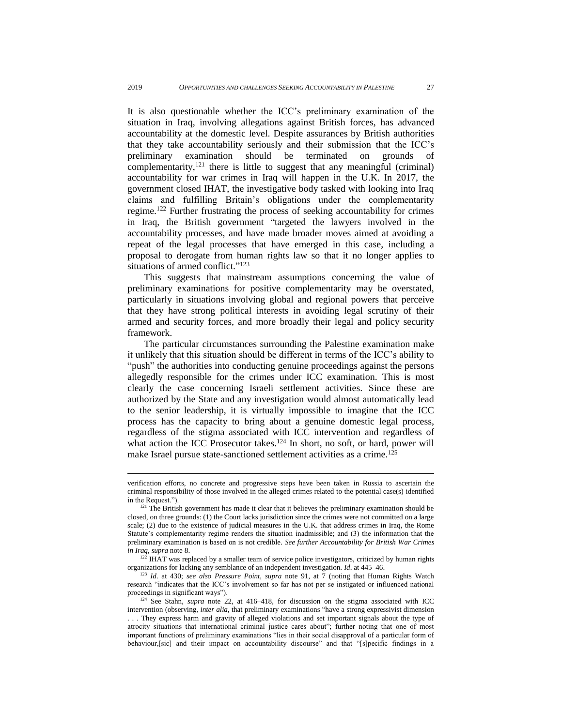It is also questionable whether the ICC's preliminary examination of the situation in Iraq, involving allegations against British forces, has advanced accountability at the domestic level. Despite assurances by British authorities that they take accountability seriously and their submission that the ICC's preliminary examination should be terminated on grounds of complementarity, $121$  there is little to suggest that any meaningful (criminal) accountability for war crimes in Iraq will happen in the U.K. In 2017, the government closed IHAT, the investigative body tasked with looking into Iraq claims and fulfilling Britain's obligations under the complementarity regime.<sup>122</sup> Further frustrating the process of seeking accountability for crimes in Iraq, the British government "targeted the lawyers involved in the accountability processes, and have made broader moves aimed at avoiding a repeat of the legal processes that have emerged in this case, including a proposal to derogate from human rights law so that it no longer applies to situations of armed conflict."<sup>123</sup>

This suggests that mainstream assumptions concerning the value of preliminary examinations for positive complementarity may be overstated, particularly in situations involving global and regional powers that perceive that they have strong political interests in avoiding legal scrutiny of their armed and security forces, and more broadly their legal and policy security framework.

The particular circumstances surrounding the Palestine examination make it unlikely that this situation should be different in terms of the ICC's ability to "push" the authorities into conducting genuine proceedings against the persons allegedly responsible for the crimes under ICC examination. This is most clearly the case concerning Israeli settlement activities. Since these are authorized by the State and any investigation would almost automatically lead to the senior leadership, it is virtually impossible to imagine that the ICC process has the capacity to bring about a genuine domestic legal process, regardless of the stigma associated with ICC intervention and regardless of what action the ICC Prosecutor takes.<sup>124</sup> In short, no soft, or hard, power will make Israel pursue state-sanctioned settlement activities as a crime.<sup>125</sup>

verification efforts, no concrete and progressive steps have been taken in Russia to ascertain the criminal responsibility of those involved in the alleged crimes related to the potential case(s) identified in the Request.").

 $121$  The British government has made it clear that it believes the preliminary examination should be closed, on three grounds: (1) the Court lacks jurisdiction since the crimes were not committed on a large scale; (2) due to the existence of judicial measures in the U.K. that address crimes in Iraq, the Rome Statute's complementarity regime renders the situation inadmissible; and (3) the information that the preliminary examination is based on is not credible. *See further Accountability for British War Crimes in Iraq*, *supra* note [8.](#page-4-1)

 $122$  IHAT was replaced by a smaller team of service police investigators, criticized by human rights organizations for lacking any semblance of an independent investigation. *Id*. at 445–46.

<sup>123</sup> *Id*. at 430; *see also Pressure Point*, *supra* note 91, at 7 (noting that Human Rights Watch research "indicates that the ICC's involvement so far has not per se instigated or influenced national proceedings in significant ways").

<sup>&</sup>lt;sup>124</sup> See Stahn, *supra* note [22,](#page-8-1) at 416-418, for discussion on the stigma associated with ICC intervention (observing, *inter alia*, that preliminary examinations "have a strong expressivist dimension

<sup>. . .</sup> They express harm and gravity of alleged violations and set important signals about the type of atrocity situations that international criminal justice cares about"; further noting that one of most important functions of preliminary examinations "lies in their social disapproval of a particular form of behaviour,[sic] and their impact on accountability discourse" and that "[s]pecific findings in a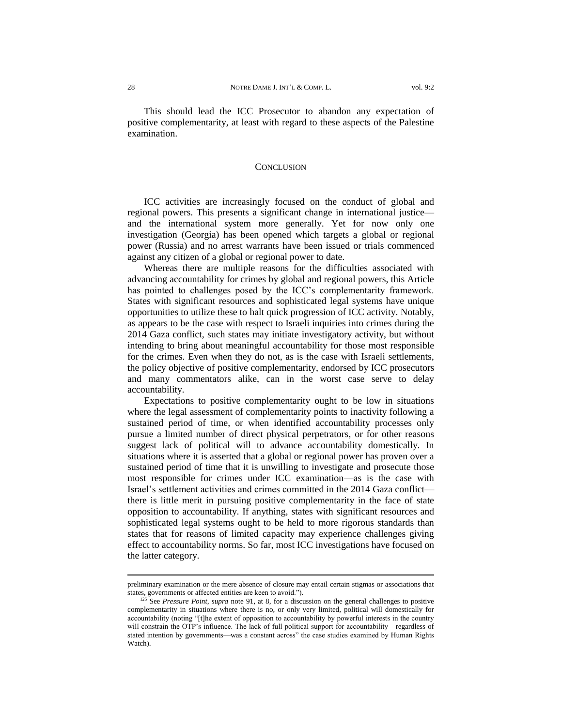This should lead the ICC Prosecutor to abandon any expectation of positive complementarity, at least with regard to these aspects of the Palestine examination.

#### **CONCLUSION**

<span id="page-29-0"></span>ICC activities are increasingly focused on the conduct of global and regional powers. This presents a significant change in international justice and the international system more generally. Yet for now only one investigation (Georgia) has been opened which targets a global or regional power (Russia) and no arrest warrants have been issued or trials commenced against any citizen of a global or regional power to date.

Whereas there are multiple reasons for the difficulties associated with advancing accountability for crimes by global and regional powers, this Article has pointed to challenges posed by the ICC's complementarity framework. States with significant resources and sophisticated legal systems have unique opportunities to utilize these to halt quick progression of ICC activity. Notably, as appears to be the case with respect to Israeli inquiries into crimes during the 2014 Gaza conflict, such states may initiate investigatory activity, but without intending to bring about meaningful accountability for those most responsible for the crimes. Even when they do not, as is the case with Israeli settlements, the policy objective of positive complementarity, endorsed by ICC prosecutors and many commentators alike, can in the worst case serve to delay accountability.

Expectations to positive complementarity ought to be low in situations where the legal assessment of complementarity points to inactivity following a sustained period of time, or when identified accountability processes only pursue a limited number of direct physical perpetrators, or for other reasons suggest lack of political will to advance accountability domestically. In situations where it is asserted that a global or regional power has proven over a sustained period of time that it is unwilling to investigate and prosecute those most responsible for crimes under ICC examination—as is the case with Israel's settlement activities and crimes committed in the 2014 Gaza conflict there is little merit in pursuing positive complementarity in the face of state opposition to accountability. If anything, states with significant resources and sophisticated legal systems ought to be held to more rigorous standards than states that for reasons of limited capacity may experience challenges giving effect to accountability norms. So far, most ICC investigations have focused on the latter category.

preliminary examination or the mere absence of closure may entail certain stigmas or associations that states, governments or affected entities are keen to avoid.").

<sup>&</sup>lt;sup>125</sup> See *Pressure Point, supra* note 91, at 8, for a discussion on the general challenges to positive complementarity in situations where there is no, or only very limited, political will domestically for accountability (noting "[t]he extent of opposition to accountability by powerful interests in the country will constrain the OTP's influence. The lack of full political support for accountability—regardless of stated intention by governments—was a constant across" the case studies examined by Human Rights Watch).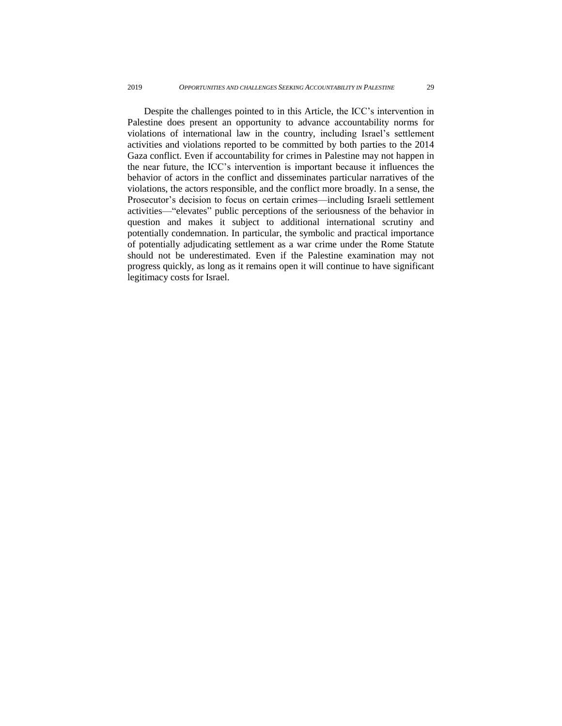Despite the challenges pointed to in this Article, the ICC's intervention in Palestine does present an opportunity to advance accountability norms for violations of international law in the country, including Israel's settlement activities and violations reported to be committed by both parties to the 2014 Gaza conflict. Even if accountability for crimes in Palestine may not happen in the near future, the ICC's intervention is important because it influences the behavior of actors in the conflict and disseminates particular narratives of the violations, the actors responsible, and the conflict more broadly. In a sense, the Prosecutor's decision to focus on certain crimes—including Israeli settlement activities—"elevates" public perceptions of the seriousness of the behavior in question and makes it subject to additional international scrutiny and potentially condemnation. In particular, the symbolic and practical importance of potentially adjudicating settlement as a war crime under the Rome Statute should not be underestimated. Even if the Palestine examination may not progress quickly, as long as it remains open it will continue to have significant legitimacy costs for Israel.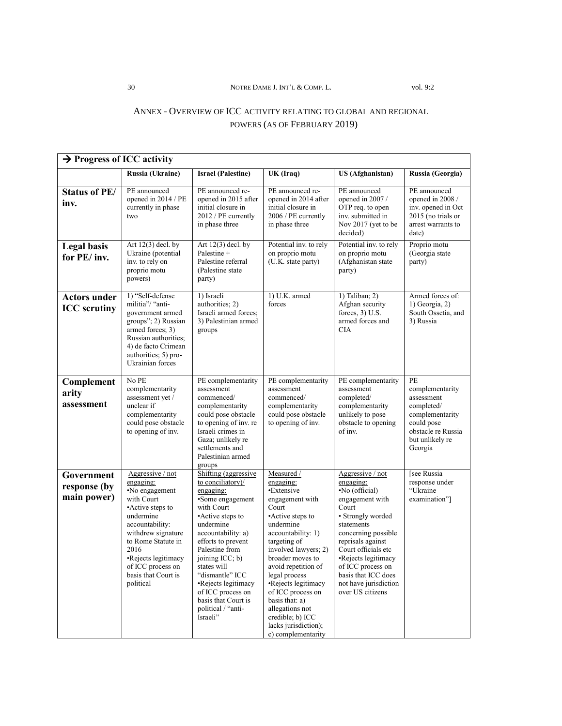#### 30 NOTRE DAME J. INT'L & COMP. L. vol. 9:2

## <span id="page-31-0"></span>ANNEX - OVERVIEW OF ICC ACTIVITY RELATING TO GLOBAL AND REGIONAL POWERS (AS OF FEBRUARY 2019)

| $\rightarrow$ Progress of ICC activity     |                                                                                                                                                                                                                                                       |                                                                                                                                                                                                                                                                                                                                                   |                                                                                                                                                                                                                                                                                                                                                                                 |                                                                                                                                                                                                                                                                                                   |                                                                                                                                        |  |
|--------------------------------------------|-------------------------------------------------------------------------------------------------------------------------------------------------------------------------------------------------------------------------------------------------------|---------------------------------------------------------------------------------------------------------------------------------------------------------------------------------------------------------------------------------------------------------------------------------------------------------------------------------------------------|---------------------------------------------------------------------------------------------------------------------------------------------------------------------------------------------------------------------------------------------------------------------------------------------------------------------------------------------------------------------------------|---------------------------------------------------------------------------------------------------------------------------------------------------------------------------------------------------------------------------------------------------------------------------------------------------|----------------------------------------------------------------------------------------------------------------------------------------|--|
|                                            | Russia (Ukraine)                                                                                                                                                                                                                                      | <b>Israel (Palestine)</b>                                                                                                                                                                                                                                                                                                                         | UK (Iraq)                                                                                                                                                                                                                                                                                                                                                                       | <b>US (Afghanistan)</b>                                                                                                                                                                                                                                                                           | Russia (Georgia)                                                                                                                       |  |
| <b>Status of PE/</b><br>inv.               | PE announced<br>opened in 2014 / PE<br>currently in phase<br>two                                                                                                                                                                                      | PE announced re-<br>opened in 2015 after<br>initial closure in<br>2012 / PE currently<br>in phase three                                                                                                                                                                                                                                           | PE announced re-<br>opened in 2014 after<br>initial closure in<br>2006 / PE currently<br>in phase three                                                                                                                                                                                                                                                                         | PE announced<br>opened in 2007 /<br>OTP req. to open<br>inv. submitted in<br>Nov 2017 (yet to be<br>decided)                                                                                                                                                                                      | PE announced<br>opened in 2008 /<br>inv. opened in Oct<br>2015 (no trials or<br>arrest warrants to<br>date)                            |  |
| <b>Legal basis</b><br>for PE/inv.          | Art $12(3)$ decl. by<br>Ukraine (potential<br>inv. to rely on<br>proprio motu<br>powers)                                                                                                                                                              | Art $12(3)$ decl. by<br>Palestine +<br>Palestine referral<br>(Palestine state)<br>party)                                                                                                                                                                                                                                                          | Potential inv. to rely<br>on proprio motu<br>(U.K. state party)                                                                                                                                                                                                                                                                                                                 | Potential inv. to rely<br>on proprio motu<br>(Afghanistan state<br>party)                                                                                                                                                                                                                         | Proprio motu<br>(Georgia state<br>party)                                                                                               |  |
| <b>Actors under</b><br><b>ICC</b> scrutiny | 1) "Self-defense<br>militia"/ "anti-<br>government armed<br>groups"; 2) Russian<br>armed forces; 3)<br>Russian authorities;<br>4) de facto Crimean<br>authorities; 5) pro-<br>Ukrainian forces                                                        | 1) Israeli<br>authorities; 2)<br>Israeli armed forces;<br>3) Palestinian armed<br>groups                                                                                                                                                                                                                                                          | 1) U.K. armed<br>forces                                                                                                                                                                                                                                                                                                                                                         | 1) Taliban; 2)<br>Afghan security<br>forces, $3)$ U.S.<br>armed forces and<br><b>CIA</b>                                                                                                                                                                                                          | Armed forces of:<br>$1)$ Georgia, 2)<br>South Ossetia, and<br>3) Russia                                                                |  |
| Complement<br>arity<br>assessment          | No PE<br>complementarity<br>assessment yet /<br>unclear if<br>complementarity<br>could pose obstacle<br>to opening of inv.                                                                                                                            | PE complementarity<br>assessment<br>commenced/<br>complementarity<br>could pose obstacle<br>to opening of inv. re<br>Israeli crimes in<br>Gaza; unlikely re<br>settlements and<br>Palestinian armed<br>groups                                                                                                                                     | PE complementarity<br>assessment<br>commenced/<br>complementarity<br>could pose obstacle<br>to opening of inv.                                                                                                                                                                                                                                                                  | PE complementarity<br>assessment<br>completed/<br>complementarity<br>unlikely to pose<br>obstacle to opening<br>of inv.                                                                                                                                                                           | PE<br>complementarity<br>assessment<br>completed/<br>complementarity<br>could pose<br>obstacle re Russia<br>but unlikely re<br>Georgia |  |
| Government<br>response (by<br>main power)  | Aggressive / not<br>engaging:<br>•No engagement<br>with Court<br>•Active steps to<br>undermine<br>accountability:<br>withdrew signature<br>to Rome Statute in<br>2016<br>•Rejects legitimacy<br>of ICC process on<br>basis that Court is<br>political | Shifting (aggressive<br>to conciliatory)/<br>engaging:<br>•Some engagement<br>with Court<br>•Active steps to<br>undermine<br>accountability: a)<br>efforts to prevent<br>Palestine from<br>joining ICC; b)<br>states will<br>"dismantle" ICC<br>•Rejects legitimacy<br>of ICC process on<br>basis that Court is<br>political / "anti-<br>Israeli" | Measured /<br>engaging:<br>•Extensive<br>engagement with<br>Court<br>•Active steps to<br>undermine<br>accountability: 1)<br>targeting of<br>involved lawyers; 2)<br>broader moves to<br>avoid repetition of<br>legal process<br>•Rejects legitimacy<br>of ICC process on<br>basis that: a)<br>allegations not<br>credible; b) ICC<br>lacks jurisdiction);<br>c) complementarity | Aggressive / not<br>engaging:<br>•No (official)<br>engagement with<br>Court<br>• Strongly worded<br>statements<br>concerning possible<br>reprisals against<br>Court officials etc<br>•Rejects legitimacy<br>of ICC process on<br>basis that ICC does<br>not have jurisdiction<br>over US citizens | [see Russia<br>response under<br>"Ukraine<br>examination"]                                                                             |  |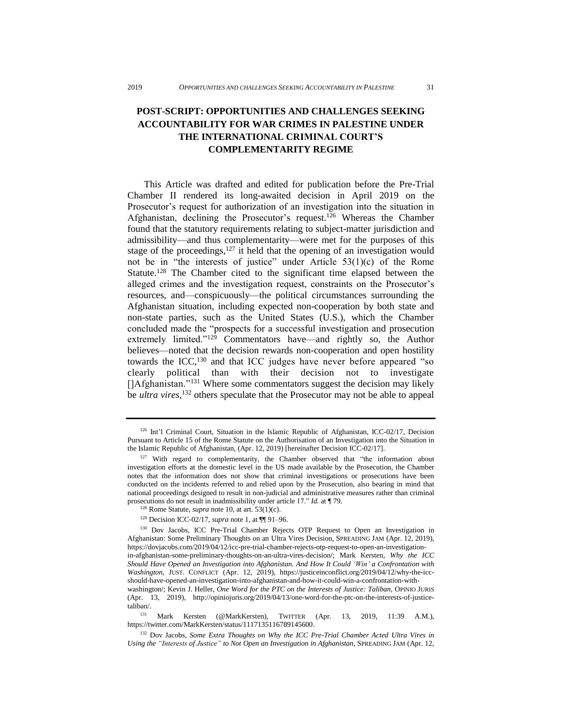## <span id="page-32-0"></span>**POST-SCRIPT: OPPORTUNITIES AND CHALLENGES SEEKING ACCOUNTABILITY FOR WAR CRIMES IN PALESTINE UNDER THE INTERNATIONAL CRIMINAL COURT'S COMPLEMENTARITY REGIME**

This Article was drafted and edited for publication before the Pre-Trial Chamber II rendered its long-awaited decision in April 2019 on the Prosecutor's request for authorization of an investigation into the situation in Afghanistan, declining the Prosecutor's request.<sup>126</sup> Whereas the Chamber found that the statutory requirements relating to subject-matter jurisdiction and admissibility—and thus complementarity—were met for the purposes of this stage of the proceedings, $127$  it held that the opening of an investigation would not be in "the interests of justice" under Article 53(1)(c) of the Rome Statute.<sup>128</sup> The Chamber cited to the significant time elapsed between the alleged crimes and the investigation request, constraints on the Prosecutor's resources, and—conspicuously—the political circumstances surrounding the Afghanistan situation, including expected non-cooperation by both state and non-state parties, such as the United States (U.S.), which the Chamber concluded made the "prospects for a successful investigation and prosecution extremely limited."<sup>129</sup> Commentators have—and rightly so, the Author believes—noted that the decision rewards non-cooperation and open hostility towards the ICC,<sup>130</sup> and that ICC judges have never before appeared "so clearly political than with their decision not to investigate []Afghanistan."<sup>131</sup> Where some commentators suggest the decision may likely be *ultra vires*, <sup>132</sup> others speculate that the Prosecutor may not be able to appeal

<sup>&</sup>lt;sup>126</sup> Int'l Criminal Court, Situation in the Islamic Republic of Afghanistan, ICC-02/17, Decision Pursuant to Article 15 of the Rome Statute on the Authorisation of an Investigation into the Situation in the Islamic Republic of Afghanistan, (Apr. 12, 2019) [hereinafter Decision ICC-02/17].

<sup>&</sup>lt;sup>127</sup> With regard to complementarity, the Chamber observed that "the information about investigation efforts at the domestic level in the US made available by the Prosecution, the Chamber notes that the information does not show that criminal investigations or prosecutions have been conducted on the incidents referred to and relied upon by the Prosecution, also bearing in mind that national proceedings designed to result in non-judicial and administrative measures rather than criminal prosecutions do not result in inadmissibility under article 17." *Id.* at ¶ 79.

<sup>128</sup> Rome Statute, *supra* note 10, at art. 53(1)(c).

<sup>129</sup> Decision ICC-02/17, *supra* note 1, at ¶¶ 91–96.

<sup>&</sup>lt;sup>130</sup> Dov Jacobs, ICC Pre-Trial Chamber Rejects OTP Request to Open an Investigation in Afghanistan: Some Preliminary Thoughts on an Ultra Vires Decision, SPREADING JAM (Apr. 12, 2019), [https://dovjacobs.com/2019/04/12/icc-pre-trial-chamber-rejects-otp-request-to-open-an-investigation](https://dovjacobs.com/2019/04/12/icc-pre-trial-chamber-rejects-otp-request-to-open-an-investigation-in-afghanistan-some-preliminary-thoughts-on-an-ultra-vires-decision/)[in-afghanistan-some-preliminary-thoughts-on-an-ultra-vires-decision/;](https://dovjacobs.com/2019/04/12/icc-pre-trial-chamber-rejects-otp-request-to-open-an-investigation-in-afghanistan-some-preliminary-thoughts-on-an-ultra-vires-decision/) Mark Kersten, *Why the ICC Should Have Opened an Investigation into Afghanistan. And How It Could 'Win' a Confrontation with Washington*, JUST. CONFLICT (Apr. 12, 2019), [https://justiceinconflict.org/2019/04/12/why-the-icc](https://justiceinconflict.org/2019/04/12/why-the-icc-should-have-opened-an-investigation-into-afghanistan-and-how-it-could-win-a-confrontation-with-washington/)[should-have-opened-an-investigation-into-afghanistan-and-how-it-could-win-a-confrontation-with-](https://justiceinconflict.org/2019/04/12/why-the-icc-should-have-opened-an-investigation-into-afghanistan-and-how-it-could-win-a-confrontation-with-washington/)

[washington/;](https://justiceinconflict.org/2019/04/12/why-the-icc-should-have-opened-an-investigation-into-afghanistan-and-how-it-could-win-a-confrontation-with-washington/) Kevin J. Heller, *One Word for the PTC on the Interests of Justice: Taliban*, OPINIO JURIS (Apr. 13, 2019), [http://opiniojuris.org/2019/04/13/one-word-for-the-ptc-on-the-interests-of-justice](http://opiniojuris.org/2019/04/13/one-word-for-the-ptc-on-the-interests-of-justice-taliban/)[taliban/.](http://opiniojuris.org/2019/04/13/one-word-for-the-ptc-on-the-interests-of-justice-taliban/)

Mark Kersten (@MarkKersten), TWITTER (Apr. 13, 2019, 11:39 A.M.), [https://twitter.com/MarkKersten/status/1117135116789145600.](https://twitter.com/MarkKersten/status/1117135116789145600)

<sup>132</sup> Dov Jacobs, *Some Extra Thoughts on Why the ICC Pre-Trial Chamber Acted Ultra Vires in Using the "Interests of Justice" to Not Open an Investigation in Afghanistan*, SPREADING JAM (Apr. 12,